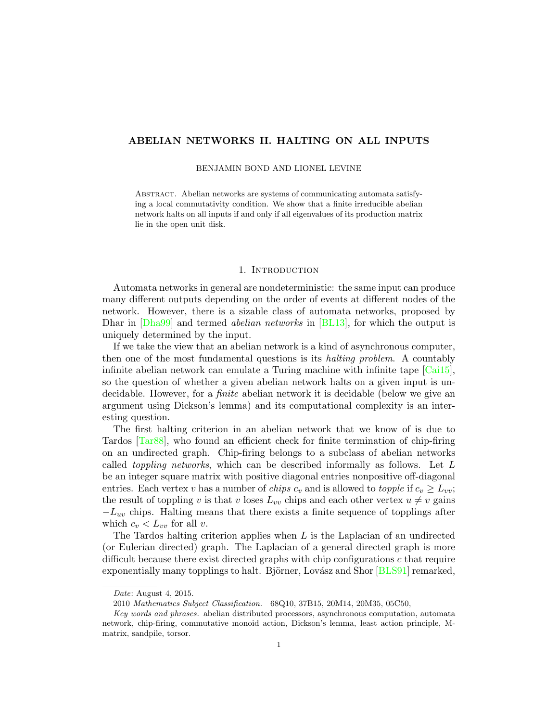# ABELIAN NETWORKS II. HALTING ON ALL INPUTS

#### BENJAMIN BOND AND LIONEL LEVINE

Abstract. Abelian networks are systems of communicating automata satisfying a local commutativity condition. We show that a finite irreducible abelian network halts on all inputs if and only if all eigenvalues of its production matrix lie in the open unit disk.

## 1. INTRODUCTION

Automata networks in general are nondeterministic: the same input can produce many different outputs depending on the order of events at different nodes of the network. However, there is a sizable class of automata networks, proposed by Dhar in [\[Dha99\]](#page-20-0) and termed *abelian networks* in [\[BL13\]](#page-19-0), for which the output is uniquely determined by the input.

If we take the view that an abelian network is a kind of asynchronous computer, then one of the most fundamental questions is its halting problem. A countably infinite abelian network can emulate a Turing machine with infinite tape  $\lceil \text{Cai15} \rceil$ , so the question of whether a given abelian network halts on a given input is undecidable. However, for a finite abelian network it is decidable (below we give an argument using Dickson's lemma) and its computational complexity is an interesting question.

The first halting criterion in an abelian network that we know of is due to Tardos [\[Tar88\]](#page-20-2), who found an efficient check for finite termination of chip-firing on an undirected graph. Chip-firing belongs to a subclass of abelian networks called toppling networks, which can be described informally as follows. Let L be an integer square matrix with positive diagonal entries nonpositive off-diagonal entries. Each vertex v has a number of *chips*  $c_v$  and is allowed to *topple* if  $c_v \geq L_{vv}$ ; the result of toppling v is that v loses  $L_{vv}$  chips and each other vertex  $u \neq v$  gains  $-L_{uv}$  chips. Halting means that there exists a finite sequence of topplings after which  $c_v < L_{vv}$  for all v.

The Tardos halting criterion applies when  $L$  is the Laplacian of an undirected (or Eulerian directed) graph. The Laplacian of a general directed graph is more difficult because there exist directed graphs with chip configurations c that require exponentially many topplings to halt. Björner, Lovász and Shor [\[BLS91\]](#page-19-1) remarked,

Date: August 4, 2015.

<sup>2010</sup> Mathematics Subject Classification. 68Q10, 37B15, 20M14, 20M35, 05C50,

Key words and phrases. abelian distributed processors, asynchronous computation, automata network, chip-firing, commutative monoid action, Dickson's lemma, least action principle, Mmatrix, sandpile, torsor.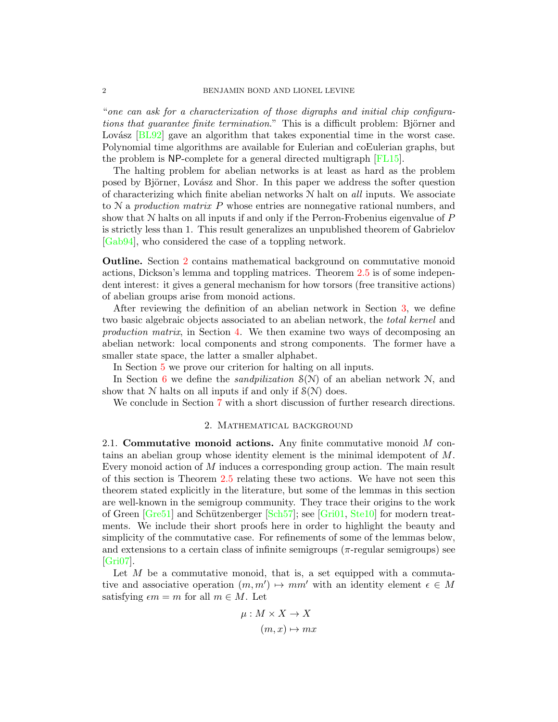"one can ask for a characterization of those digraphs and initial chip configurations that guarantee finite termination." This is a difficult problem: Björner and Lovász  $[BL92]$  gave an algorithm that takes exponential time in the worst case. Polynomial time algorithms are available for Eulerian and coEulerian graphs, but the problem is NP-complete for a general directed multigraph [\[FL15\]](#page-20-3).

The halting problem for abelian networks is at least as hard as the problem posed by Björner, Lovász and Shor. In this paper we address the softer question of characterizing which finite abelian networks  $N$  halt on *all* inputs. We associate to N a production matrix P whose entries are nonnegative rational numbers, and show that  $N$  halts on all inputs if and only if the Perron-Frobenius eigenvalue of  $P$ is strictly less than 1. This result generalizes an unpublished theorem of Gabrielov [\[Gab94\]](#page-20-4), who considered the case of a toppling network.

Outline. Section [2](#page-1-0) contains mathematical background on commutative monoid actions, Dickson's lemma and toppling matrices. Theorem [2.5](#page-3-0) is of some independent interest: it gives a general mechanism for how torsors (free transitive actions) of abelian groups arise from monoid actions.

After reviewing the definition of an abelian network in Section [3,](#page-5-0) we define two basic algebraic objects associated to an abelian network, the total kernel and production matrix, in Section [4.](#page-6-0) We then examine two ways of decomposing an abelian network: local components and strong components. The former have a smaller state space, the latter a smaller alphabet.

In Section [5](#page-12-0) we prove our criterion for halting on all inputs.

In Section [6](#page-14-0) we define the *sandpilization*  $S(N)$  of an abelian network N, and show that  $N$  halts on all inputs if and only if  $S(N)$  does.

<span id="page-1-0"></span>We conclude in Section [7](#page-17-0) with a short discussion of further research directions.

## 2. Mathematical background

<span id="page-1-1"></span>2.1. Commutative monoid actions. Any finite commutative monoid  $M$  contains an abelian group whose identity element is the minimal idempotent of M. Every monoid action of M induces a corresponding group action. The main result of this section is Theorem [2.5](#page-3-0) relating these two actions. We have not seen this theorem stated explicitly in the literature, but some of the lemmas in this section are well-known in the semigroup community. They trace their origins to the work of Green  $\left[{\rm Gre51}\right]$  and Schützenberger  $\left[{\rm Sch57}\right]$ ; see  $\left[{\rm Gri01}, {\rm Ste10}\right]$  for modern treatments. We include their short proofs here in order to highlight the beauty and simplicity of the commutative case. For refinements of some of the lemmas below, and extensions to a certain class of infinite semigroups ( $\pi$ -regular semigroups) see [\[Gri07\]](#page-20-9).

Let  $M$  be a commutative monoid, that is, a set equipped with a commutative and associative operation  $(m, m') \mapsto mm'$  with an identity element  $\epsilon \in M$ satisfying  $\epsilon m = m$  for all  $m \in M$ . Let

$$
\mu: M \times X \to X
$$

$$
(m, x) \mapsto mx
$$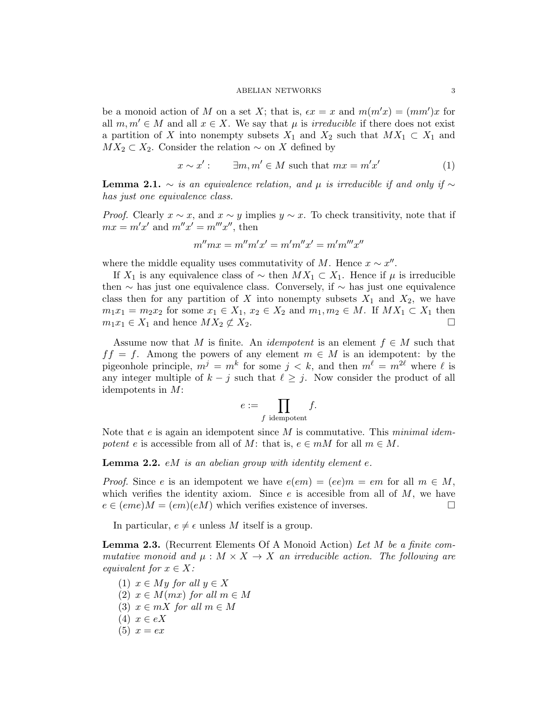be a monoid action of M on a set X; that is,  $\epsilon x = x$  and  $m(m'x) = (mm')x$  for all  $m, m' \in M$  and all  $x \in X$ . We say that  $\mu$  is *irreducible* if there does not exist a partition of X into nonempty subsets  $X_1$  and  $X_2$  such that  $MX_1 \subset X_1$  and  $MX_2 \subset X_2$ . Consider the relation  $\sim$  on X defined by

$$
x \sim x': \qquad \exists m, m' \in M \text{ such that } mx = m'x'
$$
 (1)

<span id="page-2-0"></span>**Lemma 2.1.** ∼ is an equivalence relation, and  $\mu$  is irreducible if and only if ∼ has just one equivalence class.

*Proof.* Clearly  $x \sim x$ , and  $x \sim y$  implies  $y \sim x$ . To check transitivity, note that if  $mx = m'x'$  and  $m''x' = m'''x''$ , then

$$
m''mx = m''m'x' = m'm''x' = m'm'''x''
$$

where the middle equality uses commutativity of M. Hence  $x \sim x''$ .

If  $X_1$  is any equivalence class of  $\sim$  then  $MX_1 \subset X_1$ . Hence if  $\mu$  is irreducible then  $\sim$  has just one equivalence class. Conversely, if  $\sim$  has just one equivalence class then for any partition of X into nonempty subsets  $X_1$  and  $X_2$ , we have  $m_1x_1 = m_2x_2$  for some  $x_1 \in X_1$ ,  $x_2 \in X_2$  and  $m_1, m_2 \in M$ . If  $MX_1 \subset X_1$  then  $m_1x_1 \in X_1$  and hence  $MX_2 \not\subset X_2$ .  $m_1x_1 \in X_1$  and hence  $MX_2 \not\subset X_2$ .

Assume now that M is finite. An *idempotent* is an element  $f \in M$  such that  $f f = f$ . Among the powers of any element  $m \in M$  is an idempotent: by the pigeonhole principle,  $m^j = m^k$  for some  $j < k$ , and then  $m^{\ell} = m^{2\ell}$  where  $\ell$  is any integer multiple of  $k - j$  such that  $\ell \geq j$ . Now consider the product of all idempotents in M:

$$
e := \prod_{f \text{ idempotent}} f.
$$

Note that  $e$  is again an idempotent since M is commutative. This minimal idempotent e is accessible from all of M: that is,  $e \in mM$  for all  $m \in M$ .

**Lemma 2.2.**  $e^{i}$  *eM* is an abelian group with identity element  $e$ .

*Proof.* Since e is an idempotent we have  $e(em) = (ee)m = em$  for all  $m \in M$ , which verifies the identity axiom. Since  $e$  is accesible from all of  $M$ , we have  $e \in (eme)M = (em)(eM)$  which verifies existence of inverses.

In particular,  $e \neq \epsilon$  unless M itself is a group.

<span id="page-2-1"></span>Lemma 2.3. (Recurrent Elements Of A Monoid Action) Let M be a finite commutative monoid and  $\mu : M \times X \to X$  an irreducible action. The following are equivalent for  $x \in X$ :

- (1)  $x \in My$  for all  $y \in X$ (2)  $x \in M(mx)$  for all  $m \in M$ (3)  $x \in mX$  for all  $m \in M$
- $(4)$   $x \in eX$
- $(5) x = ex$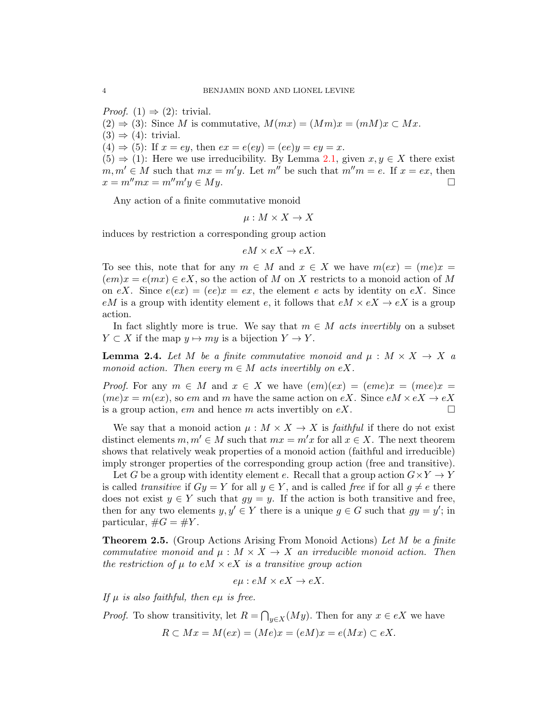*Proof.* (1)  $\Rightarrow$  (2): trivial.  $(2) \Rightarrow (3)$ : Since M is commutative,  $M(mx) = (Mm)x = (mM)x \subset Mx$ .  $(3) \Rightarrow (4)$ : trivial.  $(4) \Rightarrow (5)$ : If  $x = ey$ , then  $ex = e(ey) = (ee)y = ey = x$ .  $(5) \Rightarrow (1)$ : Here we use irreducibility. By Lemma [2.1,](#page-2-0) given  $x, y \in X$  there exist  $m, m' \in M$  such that  $mx = m'y$ . Let  $m''$  be such that  $m''m = e$ . If  $x = ex$ , then  $x = m''mx = m''m'y \in My$ .  $x = m^{\prime\prime}mx = m^{\prime\prime}m^{\prime}y \in My.$ 

Any action of a finite commutative monoid

$$
\mu: M \times X \to X
$$

induces by restriction a corresponding group action

$$
eM \times eX \to eX.
$$

To see this, note that for any  $m \in M$  and  $x \in X$  we have  $m(ex) = (me)x =$  $(em)x = e(mx) \in eX$ , so the action of M on X restricts to a monoid action of M on eX. Since  $e(ex) = (ee)x = ex$ , the element e acts by identity on eX. Since eM is a group with identity element e, it follows that  $eM \times eX \rightarrow eX$  is a group action.

In fact slightly more is true. We say that  $m \in M$  acts invertibly on a subset  $Y \subset X$  if the map  $y \mapsto my$  is a bijection  $Y \to Y$ .

<span id="page-3-1"></span>**Lemma 2.4.** Let M be a finite commutative monoid and  $\mu : M \times X \to X$  a monoid action. Then every  $m \in M$  acts invertibly on eX.

*Proof.* For any  $m \in M$  and  $x \in X$  we have  $(em)(ex) = (eme)x = (mee)x =$  $(me)x = m(ex)$ , so em and m have the same action on eX. Since  $eM \times eX \rightarrow eX$  is a group action, em and hence m acts invertibly on eX. is a group action, em and hence m acts invertibly on  $eX$ .

We say that a monoid action  $\mu : M \times X \to X$  is *faithful* if there do not exist distinct elements  $m, m' \in M$  such that  $mx = m'x$  for all  $x \in X$ . The next theorem shows that relatively weak properties of a monoid action (faithful and irreducible) imply stronger properties of the corresponding group action (free and transitive).

Let G be a group with identity element e. Recall that a group action  $G \times Y \to Y$ is called transitive if  $Gy = Y$  for all  $y \in Y$ , and is called free if for all  $g \neq e$  there does not exist  $y \in Y$  such that  $gy = y$ . If the action is both transitive and free, then for any two elements  $y, y' \in Y$  there is a unique  $g \in G$  such that  $gy = y'$ ; in particular,  $\#G = \#Y$ .

<span id="page-3-0"></span>**Theorem 2.5.** (Group Actions Arising From Monoid Actions) Let M be a finite commutative monoid and  $\mu : M \times X \to X$  an irreducible monoid action. Then the restriction of  $\mu$  to eM  $\times$  eX is a transitive group action

$$
e\mu : eM \times eX \to eX.
$$

If  $\mu$  is also faithful, then e $\mu$  is free.

*Proof.* To show transitivity, let  $R = \bigcap_{y \in X}(My)$ . Then for any  $x \in eX$  we have

$$
R \subset Mx = M(ex) = (Me)x = (eM)x = e(Mx) \subset eX.
$$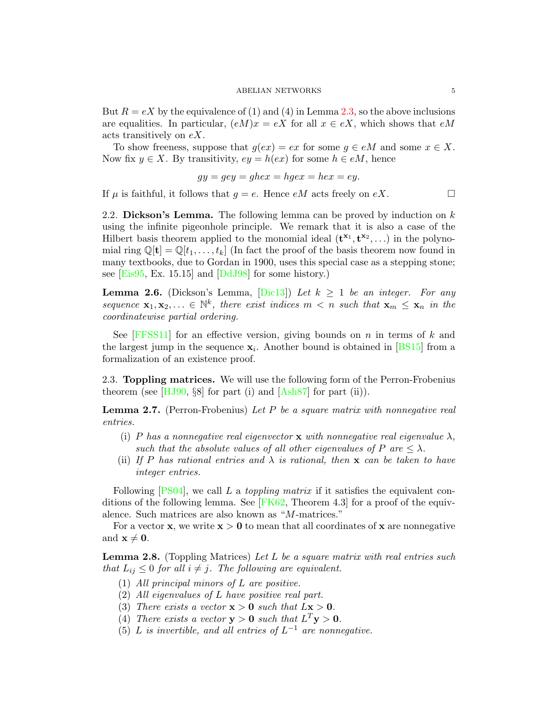But  $R = eX$  by the equivalence of (1) and (4) in Lemma [2.3,](#page-2-1) so the above inclusions are equalities. In particular,  $(eM)x = eX$  for all  $x \in eX$ , which shows that  $eM$ acts transitively on eX.

To show freeness, suppose that  $g(ex) = ex$  for some  $g \in eM$  and some  $x \in X$ . Now fix  $y \in X$ . By transitivity,  $ey = h(ex)$  for some  $h \in eM$ , hence

$$
gy = gey = ghex = hgex = hex = ey.
$$

If  $\mu$  is faithful, it follows that  $q = e$ . Hence eM acts freely on eX.

2.2. Dickson's Lemma. The following lemma can be proved by induction on  $k$ using the infinite pigeonhole principle. We remark that it is also a case of the Hilbert basis theorem applied to the monomial ideal  $(\mathbf{t}^{x_1}, \mathbf{t}^{x_2}, \ldots)$  in the polynomial ring  $\mathbb{Q}[\mathbf{t}] = \mathbb{Q}[t_1,\ldots,t_k]$  (In fact the proof of the basis theorem now found in many textbooks, due to Gordan in 1900, uses this special case as a stepping stone; see [\[Eis95,](#page-20-10) Ex. 15.15] and [\[DdJ98\]](#page-20-11) for some history.)

<span id="page-4-0"></span>**Lemma 2.6.** (Dickson's Lemma,  $[\text{Dic13}]$ ) Let  $k \geq 1$  be an integer. For any sequence  $\mathbf{x}_1, \mathbf{x}_2, \ldots \in \mathbb{N}^k$ , there exist indices  $m < n$  such that  $\mathbf{x}_m \leq \mathbf{x}_n$  in the coordinatewise partial ordering.

See  $[FFSS11]$  for an effective version, giving bounds on n in terms of k and the largest jump in the sequence  $x_i$ . Another bound is obtained in [\[BS15\]](#page-19-3) from a formalization of an existence proof.

<span id="page-4-2"></span>2.3. Toppling matrices. We will use the following form of the Perron-Frobenius theorem (see  $[HJ90, §8]$  for part (i) and  $[Ash87]$  for part (ii)).

<span id="page-4-1"></span>**Lemma 2.7.** (Perron-Frobenius) Let P be a square matrix with nonnegative real entries.

- (i) P has a nonnegative real eigenvector **x** with nonnegative real eigenvalue  $\lambda$ , such that the absolute values of all other eigenvalues of P are  $\leq \lambda$ .
- (ii) If P has rational entries and  $\lambda$  is rational, then **x** can be taken to have integer entries.

Following  $[PS04]$ , we call L a *toppling matrix* if it satisfies the equivalent conditions of the following lemma. See  $[FK62, Theorem 4.3]$  for a proof of the equivalence. Such matrices are also known as "M-matrices."

For a vector **x**, we write  $x > 0$  to mean that all coordinates of **x** are nonnegative and  $\mathbf{x} \neq \mathbf{0}$ .

<span id="page-4-3"></span>**Lemma 2.8.** (Toppling Matrices) Let L be a square matrix with real entries such that  $L_{ij} \leq 0$  for all  $i \neq j$ . The following are equivalent.

- (1) All principal minors of L are positive.
- (2) All eigenvalues of L have positive real part.
- (3) There exists a vector  $x > 0$  such that  $Lx > 0$ .
- (4) There exists a vector  $y > 0$  such that  $L^T y > 0$ .
- (5) L is invertible, and all entries of  $L^{-1}$  are nonnegative.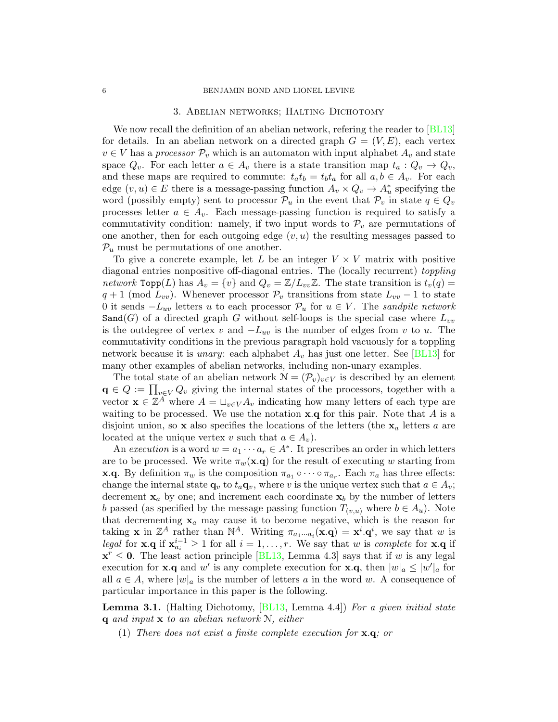#### 3. Abelian networks; Halting Dichotomy

<span id="page-5-0"></span>We now recall the definition of an abelian network, refering the reader to [\[BL13\]](#page-19-0) for details. In an abelian network on a directed graph  $G = (V, E)$ , each vertex  $v \in V$  has a *processor*  $\mathcal{P}_v$  which is an automaton with input alphabet  $A_v$  and state space  $Q_v$ . For each letter  $a \in A_v$  there is a state transition map  $t_a: Q_v \to Q_v$ , and these maps are required to commute:  $t_a t_b = t_b t_a$  for all  $a, b \in A_v$ . For each edge  $(v, u) \in E$  there is a message-passing function  $A_v \times Q_v \to A_u^*$  specifying the word (possibly empty) sent to processor  $\mathcal{P}_u$  in the event that  $\mathcal{P}_v$  in state  $q \in Q_v$ processes letter  $a \in A_v$ . Each message-passing function is required to satisfy a commutativity condition: namely, if two input words to  $\mathcal{P}_v$  are permutations of one another, then for each outgoing edge  $(v, u)$  the resulting messages passed to  $P_u$  must be permutations of one another.

To give a concrete example, let L be an integer  $V \times V$  matrix with positive diagonal entries nonpositive off-diagonal entries. The (locally recurrent) toppling network  $\text{Top}(L)$  has  $A_v = \{v\}$  and  $Q_v = \mathbb{Z}/L_{vv}\mathbb{Z}$ . The state transition is  $t_v(q) =$  $q + 1$  (mod  $L_{vv}$ ). Whenever processor  $\mathcal{P}_v$  transitions from state  $L_{vv} - 1$  to state 0 it sends  $-L_{uv}$  letters u to each processor  $\mathcal{P}_u$  for  $u \in V$ . The sandpile network Sand(G) of a directed graph G without self-loops is the special case where  $L_{vv}$ is the outdegree of vertex v and  $-L_{uv}$  is the number of edges from v to u. The commutativity conditions in the previous paragraph hold vacuously for a toppling network because it is *unary*: each alphabet  $A_v$  has just one letter. See [\[BL13\]](#page-19-0) for many other examples of abelian networks, including non-unary examples.

The total state of an abelian network  $\mathcal{N} = (\mathcal{P}_v)_{v \in V}$  is described by an element  $\mathbf{q} \in Q := \prod_{v \in V} Q_v$  giving the internal states of the processors, together with a vector  $\mathbf{x} \in \mathbb{Z}^A$  where  $A = \bigcup_{v \in V} A_v$  indicating how many letters of each type are waiting to be processed. We use the notation  $x.q$  for this pair. Note that  $A$  is a disjoint union, so x also specifies the locations of the letters (the  $x_a$  letters a are located at the unique vertex v such that  $a \in A_v$ ).

An execution is a word  $w = a_1 \cdots a_r \in A^*$ . It prescribes an order in which letters are to be processed. We write  $\pi_w(\mathbf{x}.q)$  for the result of executing w starting from **x.q.** By definition  $\pi_w$  is the composition  $\pi_{a_1} \circ \cdots \circ \pi_{a_r}$ . Each  $\pi_a$  has three effects: change the internal state  $\mathbf{q}_v$  to  $t_a\mathbf{q}_v$ , where v is the unique vertex such that  $a \in A_v$ ; decrement  $x_a$  by one; and increment each coordinate  $x_b$  by the number of letters b passed (as specified by the message passing function  $T_{(v,u)}$  where  $b \in A_u$ ). Note that decrementing  $x_a$  may cause it to become negative, which is the reason for taking **x** in  $\mathbb{Z}^A$  rather than  $\mathbb{N}^A$ . Writing  $\pi_{a_1\cdots a_i}(\mathbf{x}.\mathbf{q}) = \mathbf{x}^i \cdot \mathbf{q}^i$ , we say that w is legal for **x**.q if  $\mathbf{x}_{a_i}^{i-1} \geq 1$  for all  $i = 1, \ldots, r$ . We say that w is complete for **x**.q if  $\mathbf{x}^r \leq 0$ . The least action principle [\[BL13,](#page-19-0) Lemma 4.3] says that if w is any legal execution for **x**.**q** and w' is any complete execution for **x**.**q**, then  $|w|_a \leq |w'|_a$  for all  $a \in A$ , where  $|w|_a$  is the number of letters a in the word w. A consequence of particular importance in this paper is the following.

<span id="page-5-1"></span>Lemma 3.1. (Halting Dichotomy, [\[BL13,](#page-19-0) Lemma 4.4]) For a given initial state  $\bf{q}$  and input  $\bf{x}$  to an abelian network  $\bf{N}$ , either

(1) There does not exist a finite complete execution for x.q; or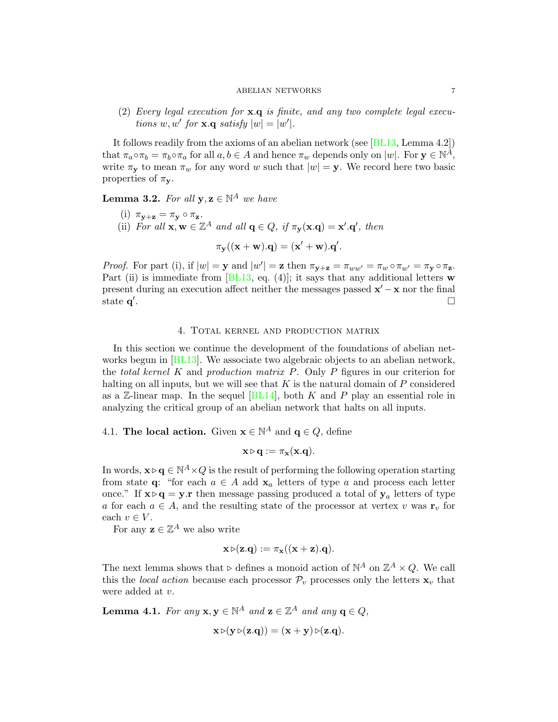(2) Every legal execution for x.q is finite, and any two complete legal executions  $w, w'$  for  $\mathbf{x}. \mathbf{q}$  satisfy  $|w| = |w'|$ .

It follows readily from the axioms of an abelian network (see  $|BL13, Lemma 4.2|$ ) that  $\pi_a \circ \pi_b = \pi_b \circ \pi_a$  for all  $a, b \in A$  and hence  $\pi_w$  depends only on  $|w|$ . For  $\mathbf{y} \in \mathbb{N}^{\tilde{A}}$ , write  $\pi_{\mathbf{y}}$  to mean  $\pi_{w}$  for any word w such that  $|w| = \mathbf{y}$ . We record here two basic properties of  $\pi_{\mathbf{y}}$ .

<span id="page-6-1"></span>**Lemma 3.2.** For all  $y, z \in \mathbb{N}^A$  we have

- (i)  $\pi_{\mathbf{v}+\mathbf{z}} = \pi_{\mathbf{y}} \circ \pi_{\mathbf{z}}$ .
- (ii) For all  $\mathbf{x}, \mathbf{w} \in \mathbb{Z}^A$  and all  $\mathbf{q} \in Q$ , if  $\pi_{\mathbf{y}}(\mathbf{x}. \mathbf{q}) = \mathbf{x}'.\mathbf{q}'$ , then

$$
\pi_{\mathbf{y}}((\mathbf{x}+\mathbf{w}).\mathbf{q}) = (\mathbf{x}' + \mathbf{w}).\mathbf{q}'.
$$

Proof. For part (i), if  $|w| = y$  and  $|w'| = z$  then  $\pi_{y+z} = \pi_{ww'} = \pi_w \circ \pi_{w'} = \pi_y \circ \pi_z$ . Part (ii) is immediate from  $[BL13, eq. (4)]$ ; it says that any additional letters w present during an execution affect neither the messages passed  $\mathbf{x}' - \mathbf{x}$  nor the final state  $\mathbf{q}'$ .

## 4. Total kernel and production matrix

<span id="page-6-0"></span>In this section we continue the development of the foundations of abelian net-works begun in [\[BL13\]](#page-19-0). We associate two algebraic objects to an abelian network, the total kernel K and production matrix  $P$ . Only  $P$  figures in our criterion for halting on all inputs, but we will see that  $K$  is the natural domain of  $P$  considered as a  $\mathbb{Z}$ -linear map. In the sequel  $[BL14]$ , both K and P play an essential role in analyzing the critical group of an abelian network that halts on all inputs.

<span id="page-6-3"></span>4.1. The local action. Given  $\mathbf{x} \in \mathbb{N}^A$  and  $\mathbf{q} \in Q$ , define

$$
\mathbf{x} \triangleright \mathbf{q} := \pi_{\mathbf{x}}(\mathbf{x}.\mathbf{q}).
$$

In words,  $\mathbf{x} \triangleright \mathbf{q} \in \mathbb{N}^A \times Q$  is the result of performing the following operation starting from state q: "for each  $a \in A$  add  $x_a$  letters of type a and process each letter once." If  $\mathbf{x} \triangleright \mathbf{q} = \mathbf{y}$ . r then message passing produced a total of  $\mathbf{y}_a$  letters of type a for each  $a \in A$ , and the resulting state of the processor at vertex v was  $r_v$  for each  $v \in V$ .

For any  $\mathbf{z} \in \mathbb{Z}^A$  we also write

$$
\mathbf{x} \triangleright (\mathbf{z}.\mathbf{q}) := \pi_{\mathbf{x}}((\mathbf{x} + \mathbf{z}).\mathbf{q}).
$$

The next lemma shows that  $\triangleright$  defines a monoid action of  $\mathbb{N}^A$  on  $\mathbb{Z}^A \times Q$ . We call this the local action because each processor  $\mathcal{P}_v$  processes only the letters  $\mathbf{x}_v$  that were added at v.

<span id="page-6-2"></span>**Lemma 4.1.** For any  $\mathbf{x}, \mathbf{y} \in \mathbb{N}^A$  and  $\mathbf{z} \in \mathbb{Z}^A$  and any  $\mathbf{q} \in Q$ ,

$$
\mathbf{x} \triangleright (\mathbf{y} \triangleright (\mathbf{z} \cdot \mathbf{q})) = (\mathbf{x} + \mathbf{y}) \triangleright (\mathbf{z} \cdot \mathbf{q}).
$$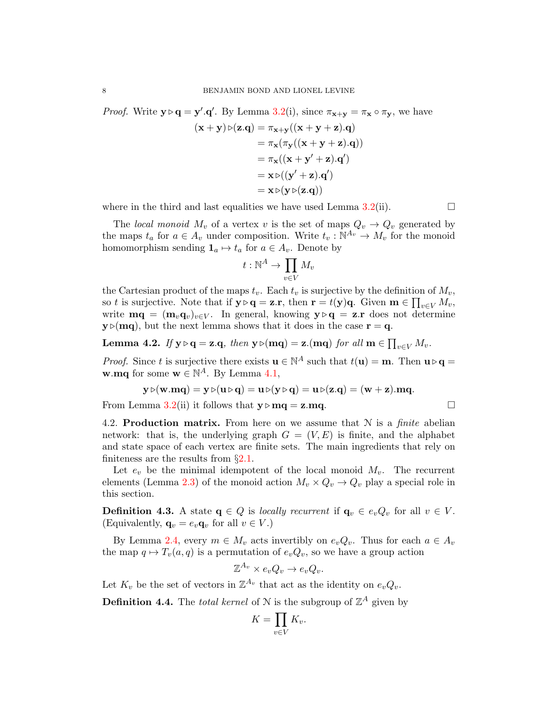*Proof.* Write  $y \triangleright q = y'.q'.$  By Lemma [3.2\(](#page-6-1)i), since  $\pi_{x+y} = \pi_x \circ \pi_y$ , we have

$$
(\mathbf{x} + \mathbf{y}) \triangleright (\mathbf{z}.\mathbf{q}) = \pi_{\mathbf{x} + \mathbf{y}} ((\mathbf{x} + \mathbf{y} + \mathbf{z}).\mathbf{q})
$$
  
\n
$$
= \pi_{\mathbf{x}} (\pi_{\mathbf{y}} ((\mathbf{x} + \mathbf{y} + \mathbf{z}).\mathbf{q}))
$$
  
\n
$$
= \pi_{\mathbf{x}} ((\mathbf{x} + \mathbf{y}' + \mathbf{z}).\mathbf{q}')
$$
  
\n
$$
= \mathbf{x} \triangleright ((\mathbf{y}' + \mathbf{z}).\mathbf{q}')
$$
  
\n
$$
= \mathbf{x} \triangleright (\mathbf{y} \triangleright (\mathbf{z}.\mathbf{q}))
$$

where in the third and last equalities we have used Lemma [3.2\(](#page-6-1)ii).  $\Box$ 

The local monoid  $M_v$  of a vertex v is the set of maps  $Q_v \to Q_v$  generated by the maps  $t_a$  for  $a \in A_v$  under composition. Write  $t_v : \mathbb{N}^{A_v} \to M_v$  for the monoid homomorphism sending  $\mathbf{1}_a \mapsto t_a$  for  $a \in A_v$ . Denote by

$$
t:\mathbb{N}^A\to \prod_{v\in V}M_v
$$

the Cartesian product of the maps  $t_v$ . Each  $t_v$  is surjective by the definition of  $M_v$ , so t is surjective. Note that if  $y \triangleright q = z.\mathbf{r}$ , then  $\mathbf{r} = t(y)q$ . Given  $\mathbf{m} \in \prod_{v \in V} M_v$ , write  $\mathbf{mq} = (\mathbf{m}_v \mathbf{q}_v)_{v \in V}$ . In general, knowing  $\mathbf{y} \triangleright \mathbf{q} = \mathbf{z} \cdot \mathbf{r}$  does not determine  $y \triangleright (mq)$ , but the next lemma shows that it does in the case  $r = q$ .

<span id="page-7-0"></span>**Lemma 4.2.** If 
$$
y \triangleright q = z.q
$$
, then  $y \triangleright (mq) = z.(mq)$  for all  $m \in \prod_{v \in V} M_v$ .

*Proof.* Since t is surjective there exists  $\mathbf{u} \in \mathbb{N}^A$  such that  $t(\mathbf{u}) = \mathbf{m}$ . Then  $\mathbf{u} \triangleright \mathbf{q} =$ **w**.mq for some **w**  $\in \mathbb{N}^A$ . By Lemma [4.1,](#page-6-2)

$$
\mathbf{y} \triangleright (\mathbf{w}.\mathbf{m}\mathbf{q}) = \mathbf{y} \triangleright (\mathbf{u} \triangleright \mathbf{q}) = \mathbf{u} \triangleright (\mathbf{y} \triangleright \mathbf{q}) = \mathbf{u} \triangleright (\mathbf{z}. \mathbf{q}) = (\mathbf{w} + \mathbf{z}).\mathbf{m}\mathbf{q}.
$$

From Lemma [3.2\(](#page-6-1)ii) it follows that  $y \triangleright mq = z.mq$ .

4.2. **Production matrix.** From here on we assume that  $N$  is a *finite* abelian network: that is, the underlying graph  $G = (V, E)$  is finite, and the alphabet and state space of each vertex are finite sets. The main ingredients that rely on finiteness are the results from  $\S 2.1$ .

Let  $e_v$  be the minimal idempotent of the local monoid  $M_v$ . The recurrent elements (Lemma [2.3\)](#page-2-1) of the monoid action  $M_v \times Q_v \to Q_v$  play a special role in this section.

**Definition 4.3.** A state  $q \in Q$  is locally recurrent if  $q_v \in e_vQ_v$  for all  $v \in V$ . (Equivalently,  $\mathbf{q}_v = e_v \mathbf{q}_v$  for all  $v \in V$ .)

By Lemma [2.4,](#page-3-1) every  $m \in M_v$  acts invertibly on  $e_vQ_v$ . Thus for each  $a \in A_v$ the map  $q \mapsto T_v(a, q)$  is a permutation of  $e_vQ_v$ , so we have a group action

$$
\mathbb{Z}^{A_v} \times e_v Q_v \to e_v Q_v.
$$

Let  $K_v$  be the set of vectors in  $\mathbb{Z}^{A_v}$  that act as the identity on  $e_vQ_v$ .

**Definition 4.4.** The *total kernel* of N is the subgroup of  $\mathbb{Z}^A$  given by

$$
K = \prod_{v \in V} K_v.
$$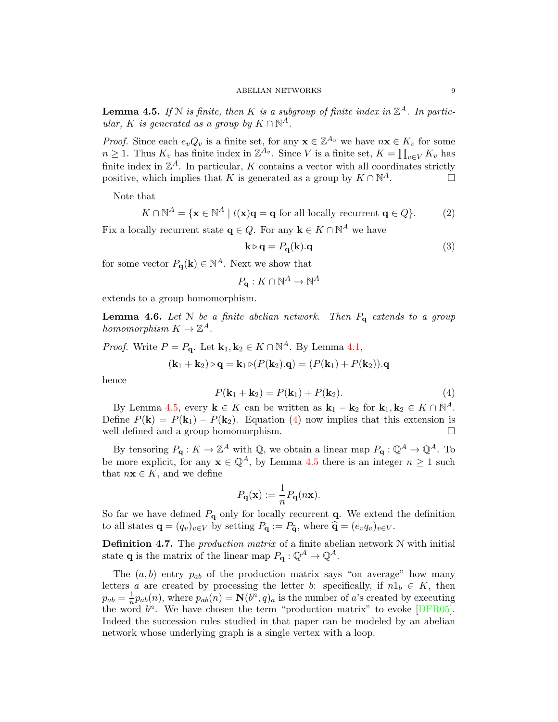<span id="page-8-0"></span>**Lemma 4.5.** If N is finite, then K is a subgroup of finite index in  $\mathbb{Z}^A$ . In particular, K is generated as a group by  $K \cap \mathbb{N}^A$ .

*Proof.* Since each  $e_v Q_v$  is a finite set, for any  $\mathbf{x} \in \mathbb{Z}^{A_v}$  we have  $n\mathbf{x} \in K_v$  for some  $n \geq 1$ . Thus  $K_v$  has finite index in  $\mathbb{Z}^{A_v}$ . Since V is a finite set,  $K = \prod_{v \in V} K_v$  has finite index in  $\mathbb{Z}^A$ . In particular, K contains a vector with all coordinates strictly positive, which implies that K is generated as a group by  $K \cap \mathbb{N}^A$ .  $A$ .

Note that

<span id="page-8-2"></span>
$$
K \cap \mathbb{N}^A = \{ \mathbf{x} \in \mathbb{N}^A \mid t(\mathbf{x})\mathbf{q} = \mathbf{q} \text{ for all locally recurrent } \mathbf{q} \in Q \}. \tag{2}
$$

Fix a locally recurrent state  $\mathbf{q} \in Q$ . For any  $\mathbf{k} \in K \cap \mathbb{N}^A$  we have

$$
\mathbf{k} \triangleright \mathbf{q} = P_{\mathbf{q}}(\mathbf{k}).\mathbf{q} \tag{3}
$$

for some vector  $P_{\mathbf{q}}(\mathbf{k}) \in \mathbb{N}^A$ . Next we show that

 $P_{\mathbf{q}}:K\cap\mathbb{N}^{A}\to\mathbb{N}^{A}$ 

extends to a group homomorphism.

**Lemma 4.6.** Let N be a finite abelian network. Then  $P_q$  extends to a group homomorphism  $K \to \mathbb{Z}^A$ .

*Proof.* Write  $P = P_{\mathbf{q}}$ . Let  $\mathbf{k}_1, \mathbf{k}_2 \in K \cap \mathbb{N}^A$ . By Lemma [4.1,](#page-6-2)

$$
(\mathbf{k}_1 + \mathbf{k}_2) \triangleright \mathbf{q} = \mathbf{k}_1 \triangleright (P(\mathbf{k}_2).\mathbf{q}) = (P(\mathbf{k}_1) + P(\mathbf{k}_2)).\mathbf{q}
$$

<span id="page-8-1"></span>hence

$$
P(\mathbf{k}_1 + \mathbf{k}_2) = P(\mathbf{k}_1) + P(\mathbf{k}_2). \tag{4}
$$

By Lemma [4.5,](#page-8-0) every  $\mathbf{k} \in K$  can be written as  $\mathbf{k}_1 - \mathbf{k}_2$  for  $\mathbf{k}_1, \mathbf{k}_2 \in K \cap \mathbb{N}^A$ . Define  $P(\mathbf{k}) = P(\mathbf{k}_1) - P(\mathbf{k}_2)$ . Equation [\(4\)](#page-8-1) now implies that this extension is well defined and a group homomorphism. well defined and a group homomorphism.

By tensoring  $P_{\mathbf{q}}: K \to \mathbb{Z}^A$  with  $\mathbb{Q}$ , we obtain a linear map  $P_{\mathbf{q}}: \mathbb{Q}^A \to \mathbb{Q}^A$ . To be more explicit, for any  $\mathbf{x} \in \mathbb{Q}^{A}$ , by Lemma [4.5](#page-8-0) there is an integer  $n \geq 1$  such that  $n\mathbf{x} \in K$ , and we define

$$
P_{\mathbf{q}}(\mathbf{x}) := \frac{1}{n} P_{\mathbf{q}}(n\mathbf{x}).
$$

So far we have defined  $P_{q}$  only for locally recurrent  $q$ . We extend the definition to all states  $\mathbf{q} = (q_v)_{v \in V}$  by setting  $P_{\mathbf{q}} := P_{\widehat{\mathbf{q}}}$ , where  $\widehat{\mathbf{q}} = (e_vq_v)_{v \in V}$ .

**Definition 4.7.** The *production matrix* of a finite abelian network  $N$  with initial state **q** is the matrix of the linear map  $P_{\mathbf{q}}: \mathbb{Q}^{A} \to \mathbb{Q}^{A}$ .

The  $(a, b)$  entry  $p_{ab}$  of the production matrix says "on average" how many letters a are created by processing the letter b: specifically, if  $n1_b \in K$ , then  $p_{ab} = \frac{1}{n}$  $\frac{1}{n}p_{ab}(n)$ , where  $p_{ab}(n) = \mathbf{N}(b^n, q)_a$  is the number of a's created by executing the word  $b^n$ . We have chosen the term "production matrix" to evoke [\[DFR05\]](#page-20-18). Indeed the succession rules studied in that paper can be modeled by an abelian network whose underlying graph is a single vertex with a loop.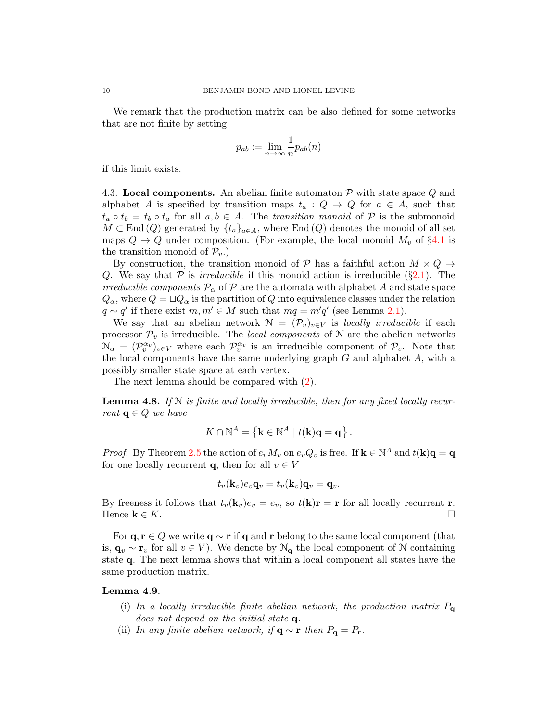We remark that the production matrix can be also defined for some networks that are not finite by setting

$$
p_{ab} := \lim_{n \to \infty} \frac{1}{n} p_{ab}(n)
$$

if this limit exists.

<span id="page-9-0"></span>4.3. Local components. An abelian finite automaton  $P$  with state space  $Q$  and alphabet A is specified by transition maps  $t_a: Q \to Q$  for  $a \in A$ , such that  $t_a \circ t_b = t_b \circ t_a$  for all  $a, b \in A$ . The transition monoid of P is the submonoid  $M \subset \text{End}(Q)$  generated by  $\{t_a\}_{a \in A}$ , where End  $(Q)$  denotes the monoid of all set maps  $Q \to Q$  under composition. (For example, the local monoid  $M_v$  of §[4.1](#page-6-3) is the transition monoid of  $\mathcal{P}_v$ .

By construction, the transition monoid of P has a faithful action  $M \times Q \rightarrow$ Q. We say that  $P$  is *irreducible* if this monoid action is irreducible (§[2.1\)](#page-1-1). The irreducible components  $\mathcal{P}_{\alpha}$  of  $\mathcal{P}$  are the automata with alphabet A and state space  $Q_{\alpha}$ , where  $Q = \Box Q_{\alpha}$  is the partition of Q into equivalence classes under the relation  $q \sim q'$  if there exist  $m, m' \in M$  such that  $mq = m'q'$  (see Lemma [2.1\)](#page-2-0).

We say that an abelian network  $\mathcal{N} = (\mathcal{P}_v)_{v \in V}$  is locally irreducible if each processor  $\mathcal{P}_v$  is irreducible. The *local components* of N are the abelian networks  $\mathcal{N}_{\alpha} = (\mathcal{P}_{v}^{\alpha_{v}})_{v \in V}$  where each  $\mathcal{P}_{v}^{\alpha_{v}}$  is an irreducible component of  $\mathcal{P}_{v}$ . Note that the local components have the same underlying graph  $G$  and alphabet  $A$ , with a possibly smaller state space at each vertex.

The next lemma should be compared with [\(2\)](#page-8-2).

<span id="page-9-1"></span>**Lemma 4.8.** If  $N$  is finite and locally irreducible, then for any fixed locally recurrent  $q \in Q$  we have

$$
K \cap \mathbb{N}^A = \left\{ \mathbf{k} \in \mathbb{N}^A \mid t(\mathbf{k})\mathbf{q} = \mathbf{q} \right\}.
$$

*Proof.* By Theorem [2.5](#page-3-0) the action of  $e_v M_v$  on  $e_v Q_v$  is free. If  $\mathbf{k} \in \mathbb{N}^A$  and  $t(\mathbf{k})\mathbf{q} = \mathbf{q}$ for one locally recurrent **q**, then for all  $v \in V$ 

$$
t_v(\mathbf{k}_v)e_v\mathbf{q}_v=t_v(\mathbf{k}_v)\mathbf{q}_v=\mathbf{q}_v.
$$

By freeness it follows that  $t_v(\mathbf{k}_v)e_v = e_v$ , so  $t(\mathbf{k})\mathbf{r} = \mathbf{r}$  for all locally recurrent r. Hence  $\mathbf{k} \in K$ .

For  $\mathbf{q}, \mathbf{r} \in Q$  we write  $\mathbf{q} \sim \mathbf{r}$  if  $\mathbf{q}$  and  $\mathbf{r}$  belong to the same local component (that is,  $\mathbf{q}_v \sim \mathbf{r}_v$  for all  $v \in V$ ). We denote by  $\mathcal{N}_{\mathbf{q}}$  the local component of N containing state q. The next lemma shows that within a local component all states have the same production matrix.

### <span id="page-9-2"></span>Lemma 4.9.

- (i) In a locally irreducible finite abelian network, the production matrix  $P_{\mathbf{q}}$ does not depend on the initial state  $q$ .
- (ii) In any finite abelian network, if  $\mathbf{q} \sim \mathbf{r}$  then  $P_{\mathbf{q}} = P_{\mathbf{r}}$ .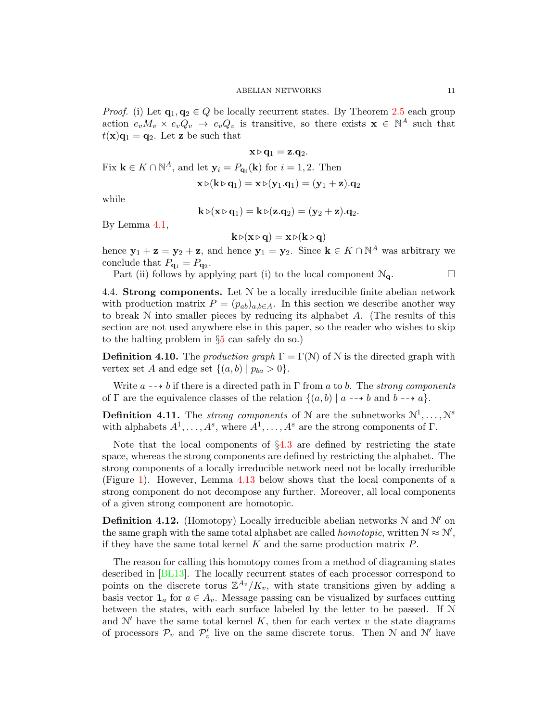*Proof.* (i) Let  $\mathbf{q}_1, \mathbf{q}_2 \in Q$  be locally recurrent states. By Theorem [2.5](#page-3-0) each group action  $e_v M_v \times e_v Q_v \rightarrow e_v Q_v$  is transitive, so there exists  $\mathbf{x} \in \mathbb{N}^A$  such that  $t(\mathbf{x})\mathbf{q}_1 = \mathbf{q}_2$ . Let **z** be such that

$$
\mathbf{x} \triangleright \mathbf{q}_1 = \mathbf{z}.\mathbf{q}_2.
$$
  
Fix  $\mathbf{k} \in K \cap \mathbb{N}^A$ , and let  $\mathbf{y}_i = P_{\mathbf{q}_i}(\mathbf{k})$  for  $i = 1, 2$ . Then

$$
\mathbf{x}\triangleright (\mathbf{k}\triangleright \mathbf{q}_1) = \mathbf{x}\triangleright (\mathbf{y}_1.\mathbf{q}_1) = (\mathbf{y}_1+\mathbf{z}).\mathbf{q}_2
$$

while

$$
\mathbf{k} \triangleright (\mathbf{x} \triangleright \mathbf{q}_1) = \mathbf{k} \triangleright (\mathbf{z}. \mathbf{q}_2) = (\mathbf{y}_2 + \mathbf{z}). \mathbf{q}_2.
$$

By Lemma [4.1,](#page-6-2)

$$
\mathbf{k} \triangleright (\mathbf{x} \triangleright \mathbf{q}) = \mathbf{x} \triangleright (\mathbf{k} \triangleright \mathbf{q})
$$

hence  $y_1 + z = y_2 + z$ , and hence  $y_1 = y_2$ . Since  $k \in K \cap \mathbb{N}^A$  was arbitrary we conclude that  $P_{\mathbf{q}_1} = P_{\mathbf{q}_2}$ .

Part (ii) follows by applying part (i) to the local component  $\mathcal{N}_{q}$ .

4.4. Strong components. Let  $N$  be a locally irreducible finite abelian network with production matrix  $P = (p_{ab})_{a,b \in A}$ . In this section we describe another way to break  $N$  into smaller pieces by reducing its alphabet  $A$ . (The results of this section are not used anywhere else in this paper, so the reader who wishes to skip to the halting problem in §[5](#page-12-0) can safely do so.)

<span id="page-10-0"></span>**Definition 4.10.** The *production graph*  $\Gamma = \Gamma(\mathcal{N})$  of  $\mathcal{N}$  is the directed graph with vertex set A and edge set  $\{(a, b) | p_{ba} > 0\}.$ 

Write  $a \rightarrow b$  if there is a directed path in Γ from a to b. The strong components of  $\Gamma$  are the equivalence classes of the relation  $\{(a, b) | a \rightarrow b \text{ and } b \rightarrow a\}.$ 

**Definition 4.11.** The *strong components* of N are the subnetworks  $\mathbb{N}^1, \ldots, \mathbb{N}^s$ with alphabets  $A^1, \ldots, A^s$ , where  $A^1, \ldots, A^s$  are the strong components of  $\Gamma$ .

Note that the local components of  $\S4.3$  $\S4.3$  are defined by restricting the state space, whereas the strong components are defined by restricting the alphabet. The strong components of a locally irreducible network need not be locally irreducible (Figure [1\)](#page-11-0). However, Lemma [4.13](#page-11-1) below shows that the local components of a strong component do not decompose any further. Moreover, all local components of a given strong component are homotopic.

**Definition 4.12.** (Homotopy) Locally irreducible abelian networks  $N$  and  $N'$  on the same graph with the same total alphabet are called *homotopic*, written  $N \approx N'$ , if they have the same total kernel  $K$  and the same production matrix  $P$ .

The reason for calling this homotopy comes from a method of diagraming states described in [\[BL13\]](#page-19-0). The locally recurrent states of each processor correspond to points on the discrete torus  $\mathbb{Z}^{A_v}/K_v$ , with state transitions given by adding a basis vector  $\mathbf{1}_a$  for  $a \in A_v$ . Message passing can be visualized by surfaces cutting between the states, with each surface labeled by the letter to be passed. If N and  $\mathcal{N}'$  have the same total kernel K, then for each vertex v the state diagrams of processors  $\mathcal{P}_v$  and  $\mathcal{P}'_v$  live on the same discrete torus. Then N and N' have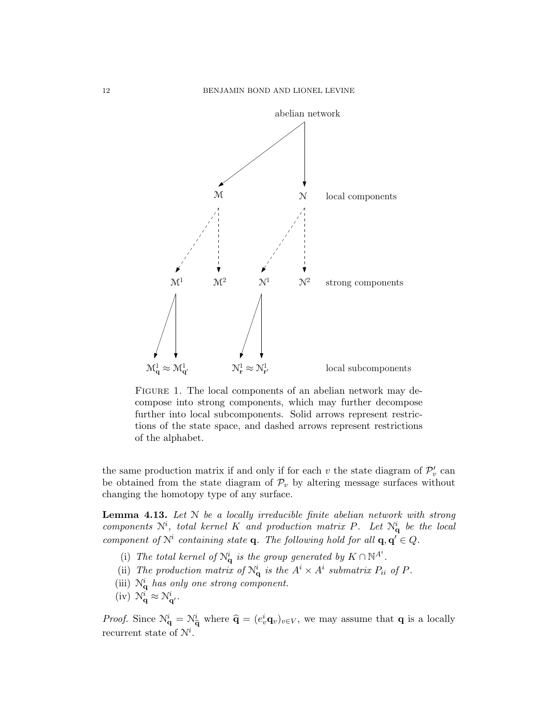

<span id="page-11-0"></span>FIGURE 1. The local components of an abelian network may decompose into strong components, which may further decompose further into local subcomponents. Solid arrows represent restrictions of the state space, and dashed arrows represent restrictions of the alphabet.

the same production matrix if and only if for each v the state diagram of  $\mathcal{P}'_v$  can be obtained from the state diagram of  $\mathcal{P}_v$  by altering message surfaces without changing the homotopy type of any surface.

<span id="page-11-1"></span>**Lemma 4.13.** Let  $N$  be a locally irreducible finite abelian network with strong components  $\mathcal{N}^i$ , total kernel K and production matrix P. Let  $\mathcal{N}_q^i$  be the local component of  $\mathcal{N}^i$  containing state **q**. The following hold for all **q**, **q'**  $\in Q$ .

- (i) The total kernel of  $\mathcal{N}_{\mathbf{q}}^i$  is the group generated by  $K \cap \mathbb{N}^{A^i}$ .
- (ii) The production matrix of  $\mathcal{N}_{\mathbf{q}}^i$  is the  $A^i \times A^i$  submatrix  $P_{ii}$  of  $P$ .
- (iii)  $\mathcal{N}_{\mathbf{q}}^{i}$  has only one strong component.
- (iv)  $\mathcal{N}_{\mathbf{q}}^{i} \approx \mathcal{N}_{\mathbf{q}'}^{i}$ .

*Proof.* Since  $\mathcal{N}_{\mathbf{q}}^i = \mathcal{N}_{\widehat{\mathbf{q}}}^i$  where  $\widehat{\mathbf{q}} = (e_v^i \mathbf{q}_v)_{v \in V}$ , we may assume that **q** is a locally recurrent state of  $\mathcal{N}^i$ .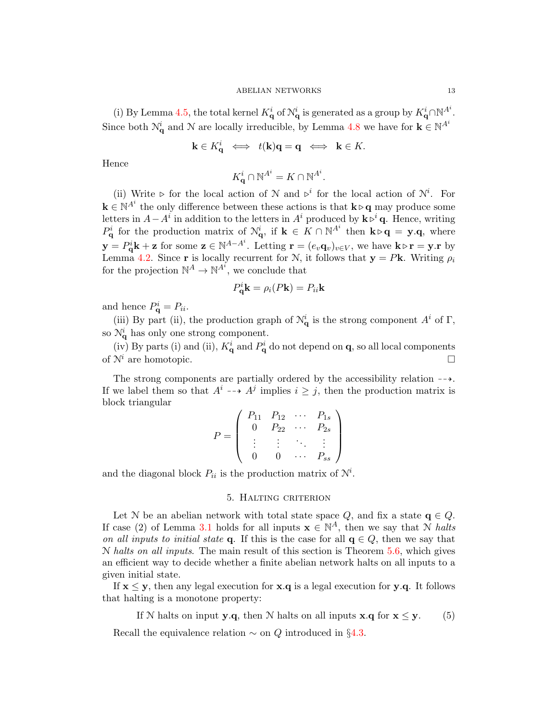(i) By Lemma [4.5,](#page-8-0) the total kernel  $K_{\mathbf{q}}^i$  of  $\mathcal{N}_{\mathbf{q}}^i$  is generated as a group by  $K_{\mathbf{q}}^i \cap \mathbb{N}^{A^i}$ . Since both  $\mathcal{N}_{\mathbf{q}}^i$  and  $\mathcal N$  are locally irreducible, by Lemma [4.8](#page-9-1) we have for  $\mathbf{k} \in \mathbb{N}^{A^i}$ 

$$
\mathbf{k} \in K_{\mathbf{q}}^{i} \iff t(\mathbf{k})\mathbf{q} = \mathbf{q} \iff \mathbf{k} \in K.
$$

Hence

$$
K_{\mathbf{q}}^i \cap \mathbb{N}^{A^i} = K \cap \mathbb{N}^{A^i}.
$$

(ii) Write  $\triangleright$  for the local action of N and  $\triangleright^i$  for the local action of N<sup>i</sup>. For  $\mathbf{k} \in \mathbb{N}^{A^i}$  the only difference between these actions is that  $\mathbf{k} \triangleright \mathbf{q}$  may produce some letters in  $A - A^i$  in addition to the letters in  $A^i$  produced by  $\mathbf{k} \triangleright^i \mathbf{q}$ . Hence, writing  $P_{\mathbf{q}}^i$  for the production matrix of  $\mathcal{N}_{\mathbf{q}}^i$ , if  $\mathbf{k} \in K \cap \mathbb{N}^{A^i}$  then  $\mathbf{k} \triangleright \mathbf{q} = \mathbf{y} \cdot \mathbf{q}$ , where  $\mathbf{y} = P_{\mathbf{q}}^i \mathbf{k} + \mathbf{z}$  for some  $\mathbf{z} \in \mathbb{N}^{A-A^i}$ . Letting  $\mathbf{r} = (e_v \mathbf{q}_v)_{v \in V}$ , we have  $\mathbf{k} \triangleright \mathbf{r} = \mathbf{y} \cdot \mathbf{r}$  by Lemma [4.2.](#page-7-0) Since r is locally recurrent for N, it follows that  $y = Pk$ . Writing  $\rho_i$ for the projection  $\mathbb{N}^A \to \mathbb{N}^{A^i}$ , we conclude that

$$
P_{\mathbf{q}}^{i} \mathbf{k} = \rho_i(P\mathbf{k}) = P_{ii}\mathbf{k}
$$

and hence  $P_{\mathbf{q}}^i = P_{ii}$ .

(iii) By part (ii), the production graph of  $\mathcal{N}_{q}^{i}$  is the strong component  $A^{i}$  of  $\Gamma$ , so  $\mathcal{N}_{\mathbf{q}}^{i}$  has only one strong component.

(iv) By parts (i) and (ii),  $K_{\mathbf{q}}^{i}$  and  $P_{\mathbf{q}}^{i}$  do not depend on  $\mathbf{q}$ , so all local components of  $\mathcal{N}^i$  are homotopic.

The strong components are partially ordered by the accessibility relation  $-\rightarrow$ . If we label them so that  $A^i \dashrightarrow A^j$  implies  $i \geq j$ , then the production matrix is block triangular

$$
P = \left( \begin{array}{cccc} P_{11} & P_{12} & \cdots & P_{1s} \\ 0 & P_{22} & \cdots & P_{2s} \\ \vdots & \vdots & \ddots & \vdots \\ 0 & 0 & \cdots & P_{ss} \end{array} \right)
$$

and the diagonal block  $P_{ii}$  is the production matrix of  $N^i$ .

## <span id="page-12-1"></span>5. Halting criterion

<span id="page-12-0"></span>Let N be an abelian network with total state space  $Q$ , and fix a state  $q \in Q$ . If case (2) of Lemma [3.1](#page-5-1) holds for all inputs  $\mathbf{x} \in \mathbb{N}^A$ , then we say that N halts on all inputs to initial state q. If this is the case for all  $q \in Q$ , then we say that  $N$  halts on all inputs. The main result of this section is Theorem [5.6,](#page-14-1) which gives an efficient way to decide whether a finite abelian network halts on all inputs to a given initial state.

If  $x \leq y$ , then any legal execution for  $x.q$  is a legal execution for y.q. It follows that halting is a monotone property:

If N halts on input **y**.q, then N halts on all inputs **x**.q for **x**  $\leq$  **y**. (5)

Recall the equivalence relation  $\sim$  on Q introduced in §[4.3.](#page-9-0)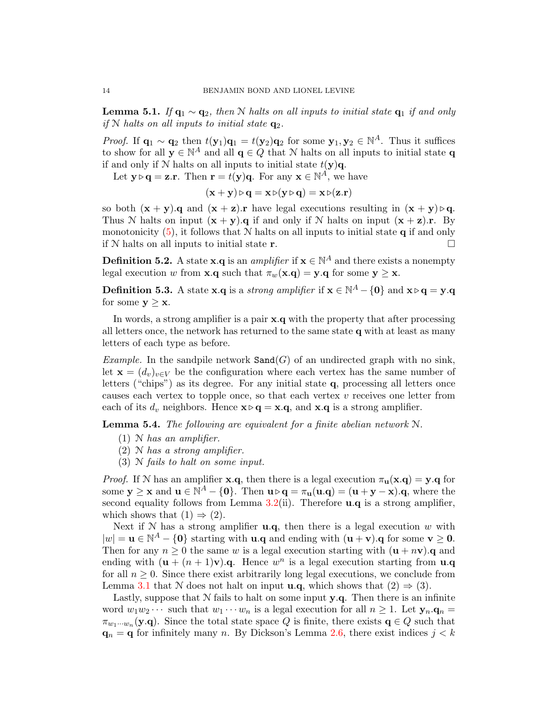<span id="page-13-1"></span>**Lemma 5.1.** If  $q_1 \sim q_2$ , then N halts on all inputs to initial state  $q_1$  if and only if N halts on all inputs to initial state  $q_2$ .

*Proof.* If  $\mathbf{q}_1 \sim \mathbf{q}_2$  then  $t(\mathbf{y}_1)\mathbf{q}_1 = t(\mathbf{y}_2)\mathbf{q}_2$  for some  $\mathbf{y}_1, \mathbf{y}_2 \in \mathbb{N}^A$ . Thus it suffices to show for all  $\mathbf{y} \in \mathbb{N}^A$  and all  $\mathbf{q} \in Q$  that N halts on all inputs to initial state q if and only if N halts on all inputs to initial state  $t(\mathbf{y})\mathbf{q}$ .

Let  $\mathbf{y} \triangleright \mathbf{q} = \mathbf{z}.\mathbf{r}$ . Then  $\mathbf{r} = t(\mathbf{y})\mathbf{q}$ . For any  $\mathbf{x} \in \mathbb{N}^A$ , we have

 $(\mathbf{x} + \mathbf{y}) \triangleright \mathbf{q} = \mathbf{x} \triangleright (\mathbf{y} \triangleright \mathbf{q}) = \mathbf{x} \triangleright (\mathbf{z} \cdot \mathbf{r})$ 

so both  $(x + y)$ .q and  $(x + z)$ .r have legal executions resulting in  $(x + y) \triangleright q$ . Thus N halts on input  $(x + y)$ . q if and only if N halts on input  $(x + z)$ . By monotonicity  $(5)$ , it follows that N halts on all inputs to initial state q if and only if N halts on all inputs to initial state r.

**Definition 5.2.** A state  $\mathbf{x} \cdot \mathbf{q}$  is an *amplifier* if  $\mathbf{x} \in \mathbb{N}^A$  and there exists a nonempty legal execution w from **x**.q such that  $\pi_w(\mathbf{x} \cdot \mathbf{q}) = \mathbf{y} \cdot \mathbf{q}$  for some  $\mathbf{y} \geq \mathbf{x}$ .

**Definition 5.3.** A state **x**.q is a *strong amplifier* if  $\mathbf{x} \in \mathbb{N}^A - \{\mathbf{0}\}$  and  $\mathbf{x} \triangleright \mathbf{q} = \mathbf{y} \cdot \mathbf{q}$ for some  $y > x$ .

In words, a strong amplifier is a pair x.q with the property that after processing all letters once, the network has returned to the same state q with at least as many letters of each type as before.

Example. In the sandpile network  $\texttt{Sand}(G)$  of an undirected graph with no sink, let  $\mathbf{x} = (d_v)_{v \in V}$  be the configuration where each vertex has the same number of letters ("chips") as its degree. For any initial state q, processing all letters once causes each vertex to topple once, so that each vertex  $v$  receives one letter from each of its  $d_v$  neighbors. Hence  $\mathbf{x} \triangleright \mathbf{q} = \mathbf{x} \cdot \mathbf{q}$ , and  $\mathbf{x} \cdot \mathbf{q}$  is a strong amplifier.

<span id="page-13-0"></span>Lemma 5.4. The following are equivalent for a finite abelian network N.

- $(1)$  N has an amplifier.
- (2) N has a strong amplifier.
- (3) N fails to halt on some input.

*Proof.* If N has an amplifier **x**.q, then there is a legal execution  $\pi_{\mathbf{u}}(\mathbf{x}.\mathbf{q}) = \mathbf{y}.\mathbf{q}$  for some  $y \ge x$  and  $u \in \mathbb{N}^A - \{0\}$ . Then  $u \triangleright q = \pi_u(u.q) = (u + y - x).q$ , where the second equality follows from Lemma  $3.2(ii)$  $3.2(ii)$ . Therefore  $\bf{u}.\bf{q}$  is a strong amplifier, which shows that  $(1) \Rightarrow (2)$ .

Next if  $N$  has a strong amplifier  $\mathbf{u} \cdot \mathbf{q}$ , then there is a legal execution w with  $|w| = \mathbf{u} \in \mathbb{N}^A - \{0\}$  starting with  $\mathbf{u} \cdot \mathbf{q}$  and ending with  $(\mathbf{u} + \mathbf{v}) \cdot \mathbf{q}$  for some  $\mathbf{v} \geq 0$ . Then for any  $n \geq 0$  the same w is a legal execution starting with  $(u + n v)$ . q and ending with  $(\mathbf{u} + (n+1)\mathbf{v})\cdot\mathbf{q}$ . Hence  $w^n$  is a legal execution starting from **u.q** for all  $n \geq 0$ . Since there exist arbitrarily long legal executions, we conclude from Lemma [3.1](#page-5-1) that N does not halt on input **u.q**, which shows that  $(2) \Rightarrow (3)$ .

Lastly, suppose that  $N$  fails to halt on some input  $y.q$ . Then there is an infinite word  $w_1w_2 \cdots$  such that  $w_1 \cdots w_n$  is a legal execution for all  $n \geq 1$ . Let  $y_n.q_n =$  $\pi_{w_1\cdots w_n}(\mathbf{y}.q)$ . Since the total state space Q is finite, there exists  $q \in Q$  such that  $\mathbf{q}_n = \mathbf{q}$  for infinitely many n. By Dickson's Lemma [2.6,](#page-4-0) there exist indices  $j < k$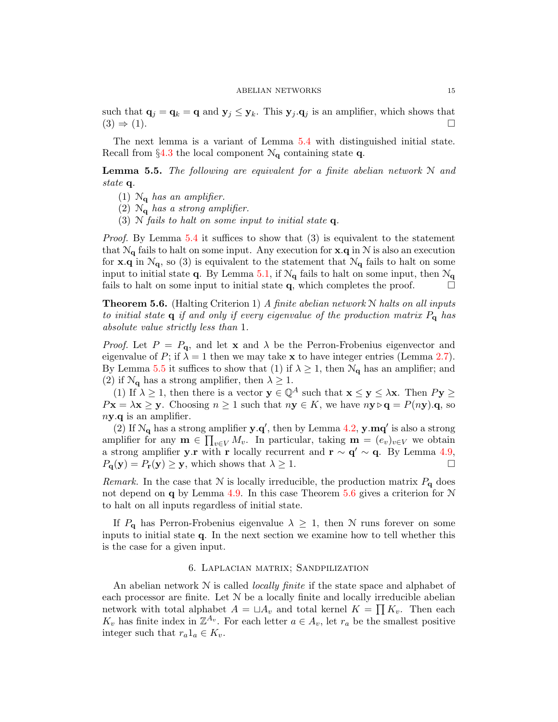such that  $\mathbf{q}_j = \mathbf{q}_k = \mathbf{q}$  and  $\mathbf{y}_j \leq \mathbf{y}_k$ . This  $\mathbf{y}_j \cdot \mathbf{q}_j$  is an amplifier, which shows that  $(3) \Rightarrow (1)$ .  $(3) \Rightarrow (1).$ 

The next lemma is a variant of Lemma [5.4](#page-13-0) with distinguished initial state. Recall from §[4.3](#page-9-0) the local component  $\mathcal{N}_{q}$  containing state q.

<span id="page-14-2"></span>**Lemma 5.5.** The following are equivalent for a finite abelian network  $N$  and state q.

- (1)  $\mathcal{N}_{q}$  has an amplifier.
- (2)  $\mathcal{N}_{q}$  has a strong amplifier.
- (3) N fails to halt on some input to initial state  $q$ .

*Proof.* By Lemma [5.4](#page-13-0) it suffices to show that  $(3)$  is equivalent to the statement that  $\mathcal{N}_{q}$  fails to halt on some input. Any execution for **x**.q in N is also an execution for **x**.q in  $\mathcal{N}_q$ , so (3) is equivalent to the statement that  $\mathcal{N}_q$  fails to halt on some input to initial state q. By Lemma [5.1,](#page-13-1) if  $\mathcal{N}_q$  fails to halt on some input, then  $\mathcal{N}_q$ fails to halt on some input to initial state  $q$ , which completes the proof.  $\Box$ 

<span id="page-14-1"></span>**Theorem 5.6.** (Halting Criterion 1) A finite abelian network  $N$  halts on all inputs to initial state  $q$  if and only if every eigenvalue of the production matrix  $P_q$  has absolute value strictly less than 1.

*Proof.* Let  $P = P_{q}$ , and let **x** and  $\lambda$  be the Perron-Frobenius eigenvector and eigenvalue of P; if  $\lambda = 1$  then we may take **x** to have integer entries (Lemma [2.7\)](#page-4-1). By Lemma [5.5](#page-14-2) it suffices to show that (1) if  $\lambda \geq 1$ , then  $\mathcal{N}_{q}$  has an amplifier; and (2) if  $\mathcal{N}_{q}$  has a strong amplifier, then  $\lambda \geq 1$ .

(1) If  $\lambda \geq 1$ , then there is a vector  $y \in \mathbb{Q}^A$  such that  $x \leq y \leq \lambda x$ . Then  $Py \geq$  $P\mathbf{x} = \lambda \mathbf{x} \geq \mathbf{y}$ . Choosing  $n \geq 1$  such that  $n\mathbf{y} \in K$ , we have  $n\mathbf{y} \triangleright \mathbf{q} = P(n\mathbf{y}).\mathbf{q}$ , so  $n**y**$ .*q* is an amplifier.

(2) If  $\mathcal{N}_{q}$  has a strong amplifier  $y.q'$ , then by Lemma [4.2,](#page-7-0)  $y.mq'$  is also a strong amplifier for any  $\mathbf{m} \in \prod_{v \in V} M_v$ . In particular, taking  $\mathbf{m} = (e_v)_{v \in V}$  we obtain a strong amplifier y.r with r locally recurrent and  $\mathbf{r} \sim \mathbf{q}' \sim \mathbf{q}$ . By Lemma [4.9,](#page-9-2)  $P_{\mathbf{q}}(\mathbf{y}) = P_{\mathbf{r}}(\mathbf{y}) \geq \mathbf{y}$ , which shows that  $\lambda \geq 1$ .

Remark. In the case that N is locally irreducible, the production matrix  $P_{q}$  does not depend on q by Lemma [4.9.](#page-9-2) In this case Theorem [5.6](#page-14-1) gives a criterion for  $N$ to halt on all inputs regardless of initial state.

If  $P_{q}$  has Perron-Frobenius eigenvalue  $\lambda \geq 1$ , then N runs forever on some inputs to initial state q. In the next section we examine how to tell whether this is the case for a given input.

### 6. Laplacian matrix; Sandpilization

<span id="page-14-0"></span>An abelian network  $N$  is called *locally finite* if the state space and alphabet of each processor are finite. Let  $N$  be a locally finite and locally irreducible abelian network with total alphabet  $A = \Box A_v$  and total kernel  $K = \prod K_v$ . Then each  $K_v$  has finite index in  $\mathbb{Z}^{A_v}$ . For each letter  $a \in A_v$ , let  $r_a$  be the smallest positive integer such that  $r_a 1_a \in K_v$ .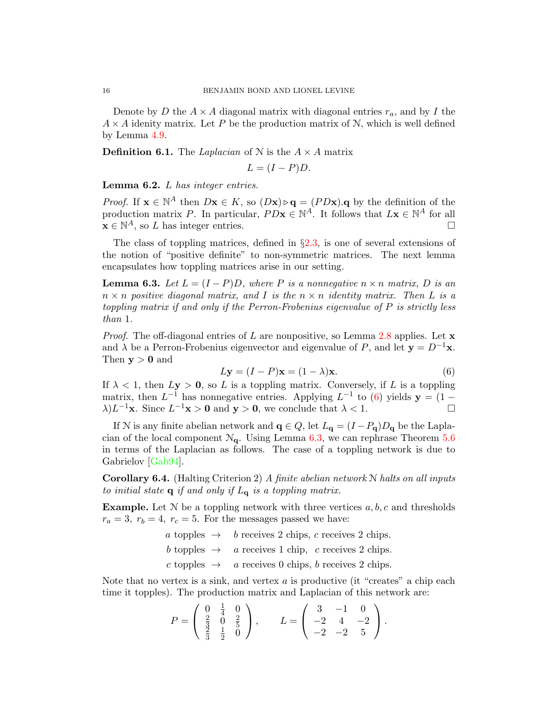Denote by D the  $A \times A$  diagonal matrix with diagonal entries  $r_a$ , and by I the  $A \times A$  idenity matrix. Let P be the production matrix of N, which is well defined by Lemma [4.9.](#page-9-2)

**Definition 6.1.** The Laplacian of N is the  $A \times A$  matrix

$$
L=(I-P)D.
$$

Lemma 6.2. L has integer entries.

*Proof.* If  $\mathbf{x} \in \mathbb{N}^A$  then  $D\mathbf{x} \in K$ , so  $(D\mathbf{x}) \triangleright \mathbf{q} = (PD\mathbf{x}).\mathbf{q}$  by the definition of the production matrix P. In particular,  $PD\mathbf{x} \in \mathbb{N}^A$ . It follows that  $L\mathbf{x} \in \mathbb{N}^A$  for all  $\mathbf{x} \in \mathbb{N}^A$ , so L has integer entries.

The class of toppling matrices, defined in §[2.3,](#page-4-2) is one of several extensions of the notion of "positive definite" to non-symmetric matrices. The next lemma encapsulates how toppling matrices arise in our setting.

<span id="page-15-1"></span>**Lemma 6.3.** Let  $L = (I - P)D$ , where P is a nonnegative  $n \times n$  matrix, D is an  $n \times n$  positive diagonal matrix, and I is the  $n \times n$  identity matrix. Then L is a toppling matrix if and only if the Perron-Frobenius eigenvalue of P is strictly less than 1.

*Proof.* The off-diagonal entries of L are nonpositive, so Lemma [2.8](#page-4-3) applies. Let  $\bf{x}$ and  $\lambda$  be a Perron-Frobenius eigenvector and eigenvalue of P, and let  $y = D^{-1}x$ . Then  $y > 0$  and

<span id="page-15-0"></span>
$$
Ly = (I - P)\mathbf{x} = (1 - \lambda)\mathbf{x}.
$$
\n(6)

If  $\lambda < 1$ , then  $Ly > 0$ , so L is a toppling matrix. Conversely, if L is a toppling matrix, then  $L^{-1}$  has nonnegative entries. Applying  $L^{-1}$  to [\(6\)](#page-15-0) yields  $y = (1 \lambda)L^{-1}\mathbf{x}$ . Since  $L^{-1}\mathbf{x} > 0$  and  $\mathbf{y} > 0$ , we conclude that  $\lambda < 1$ .

If N is any finite abelian network and  $\mathbf{q} \in Q$ , let  $L_{\mathbf{q}} = (I - P_{\mathbf{q}})D_{\mathbf{q}}$  be the Laplacian of the local component  $\mathcal{N}_{q}$ . Using Lemma [6.3,](#page-15-1) we can rephrase Theorem [5.6](#page-14-1) in terms of the Laplacian as follows. The case of a toppling network is due to Gabrielov [\[Gab94\]](#page-20-4).

<span id="page-15-2"></span>**Corollary 6.4.** (Halting Criterion 2) A finite abelian network  $N$  halts on all inputs to initial state  $q$  if and only if  $L_q$  is a toppling matrix.

**Example.** Let  $N$  be a toppling network with three vertices  $a, b, c$  and thresholds  $r_a = 3$ ,  $r_b = 4$ ,  $r_c = 5$ . For the messages passed we have:

a topples  $\rightarrow$  b receives 2 chips, c receives 2 chips.

 $b$  topples  $\rightarrow$  a receives 1 chip, c receives 2 chips.

 $c$  topples  $\rightarrow$  a receives 0 chips, b receives 2 chips.

Note that no vertex is a sink, and vertex  $a$  is productive (it "creates" a chip each time it topples). The production matrix and Laplacian of this network are:

$$
P = \begin{pmatrix} 0 & \frac{1}{4} & 0 \\ \frac{2}{3} & 0 & \frac{2}{5} \\ \frac{2}{3} & \frac{1}{2} & 0 \end{pmatrix}, \qquad L = \begin{pmatrix} 3 & -1 & 0 \\ -2 & 4 & -2 \\ -2 & -2 & 5 \end{pmatrix}.
$$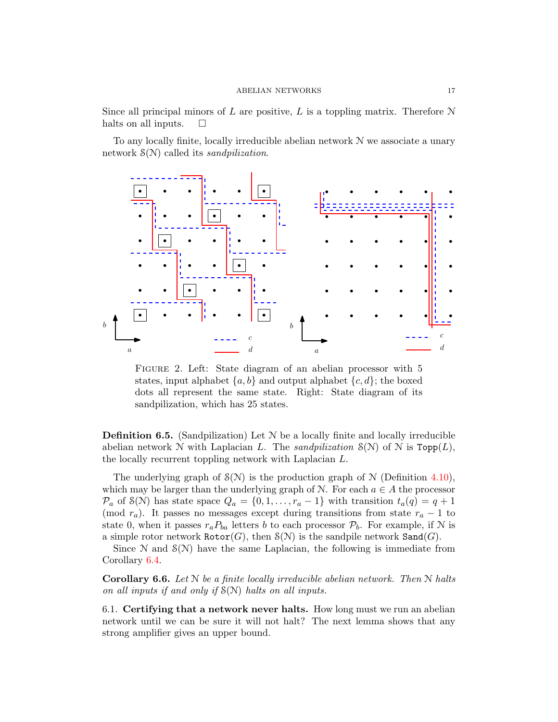Since all principal minors of L are positive, L is a toppling matrix. Therefore  $N$ halts on all inputs.  $\square$ 

To any locally finite, locally irreducible abelian network N we associate a unary network  $\mathcal{S}(N)$  called its *sandpilization*.



FIGURE 2. Left: State diagram of an abelian processor with 5 states, input alphabet  $\{a, b\}$  and output alphabet  $\{c, d\}$ ; the boxed dots all represent the same state. Right: State diagram of its sandpilization, which has 25 states.

**Definition 6.5.** (Sandpilization) Let  $N$  be a locally finite and locally irreducible abelian network N with Laplacian L. The sandpilization  $S(N)$  of N is Topp(L), the locally recurrent toppling network with Laplacian L.

The underlying graph of  $S(N)$  is the production graph of N (Definition [4.10\)](#page-10-0), which may be larger than the underlying graph of N. For each  $a \in A$  the processor  $\mathcal{P}_a$  of S(N) has state space  $Q_a = \{0, 1, \ldots, r_a - 1\}$  with transition  $t_a(q) = q + 1$ (mod  $r_a$ ). It passes no messages except during transitions from state  $r_a - 1$  to state 0, when it passes  $r_a P_{ba}$  letters b to each processor  $P_b$ . For example, if N is a simple rotor network  $\texttt{Rotor}(G)$ , then  $\mathcal{S}(\mathcal{N})$  is the sandpile network  $\texttt{Sand}(G)$ .

Since  $\mathcal N$  and  $\mathcal S(\mathcal N)$  have the same Laplacian, the following is immediate from Corollary [6.4.](#page-15-2)

**Corollary 6.6.** Let  $N$  be a finite locally irreducible abelian network. Then  $N$  halts on all inputs if and only if  $S(N)$  halts on all inputs.

6.1. Certifying that a network never halts. How long must we run an abelian network until we can be sure it will not halt? The next lemma shows that any strong amplifier gives an upper bound.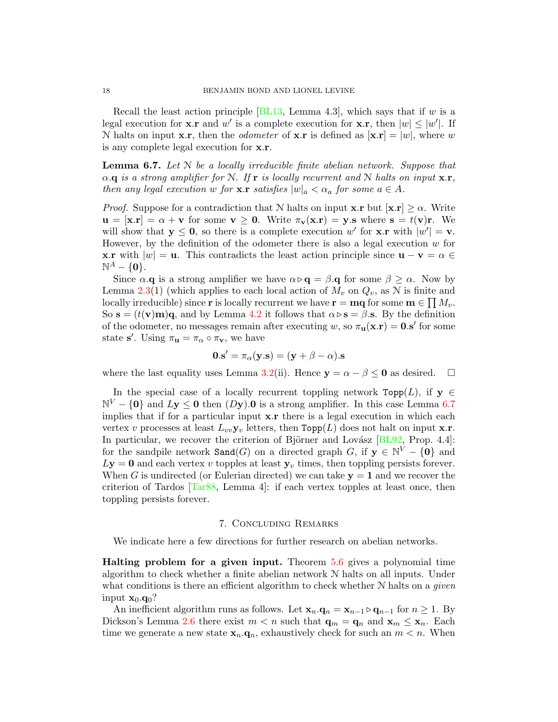Recall the least action principle [\[BL13,](#page-19-0) Lemma 4.3], which says that if w is a legal execution for **x**.**r** and w' is a complete execution for **x**.**r**, then  $|w| \leq |w'|$ . If N halts on input **x**.r, then the *odometer* of **x**.r is defined as  $[\mathbf{x} \cdot \mathbf{r}] = |w|$ , where w is any complete legal execution for x.r.

<span id="page-17-1"></span>**Lemma 6.7.** Let  $N$  be a locally irreducible finite abelian network. Suppose that  $\alpha$ . q is a strong amplifier for N. If r is locally recurrent and N halts on input  $\mathbf{x}.\mathbf{r}$ , then any legal execution w for **x**.**r** satisfies  $|w|_a < \alpha_a$  for some  $a \in A$ .

*Proof.* Suppose for a contradiction that N halts on input  $\mathbf{x} \cdot \mathbf{r}$  but  $[\mathbf{x} \cdot \mathbf{r}] \geq \alpha$ . Write  $u = [x.\mathbf{r}] = \alpha + v$  for some  $v \ge 0$ . Write  $\pi_v(x.\mathbf{r}) = y.s$  where  $s = t(v)\mathbf{r}$ . We will show that  $y \le 0$ , so there is a complete execution w' for **x**.**r** with  $|w'| = v$ . However, by the definition of the odometer there is also a legal execution  $w$  for **x.r** with  $|w| = u$ . This contradicts the least action principle since  $u - v = \alpha \in$  $\mathbb{N}^A - \{0\}.$ 

Since  $\alpha$ **.q** is a strong amplifier we have  $\alpha \triangleright q = \beta$ **.q** for some  $\beta \geq \alpha$ . Now by Lemma [2.3\(](#page-2-1)1) (which applies to each local action of  $M_v$  on  $Q_v$ , as N is finite and locally irreducible) since **r** is locally recurrent we have  $\mathbf{r} = \mathbf{mq}$  for some  $\mathbf{m} \in \prod M_v$ . So  $\mathbf{s} = (t(\mathbf{v})\mathbf{m})\mathbf{q}$ , and by Lemma [4.2](#page-7-0) it follows that  $\alpha \triangleright \mathbf{s} = \beta \mathbf{s}$ . By the definition of the odometer, no messages remain after executing w, so  $\pi_{\mathbf{u}}(\mathbf{x}.\mathbf{r}) = \mathbf{0}.\mathbf{s}'$  for some state s'. Using  $\pi_{\mathbf{u}} = \pi_{\alpha} \circ \pi_{\mathbf{v}}$ , we have

$$
\mathbf{0}.\mathbf{s}' = \pi_{\alpha}(\mathbf{y}.\mathbf{s}) = (\mathbf{y} + \beta - \alpha).\mathbf{s}
$$

where the last equality uses Lemma [3.2\(](#page-6-1)ii). Hence  $y = \alpha - \beta \le 0$  as desired.  $\square$ 

In the special case of a locally recurrent toppling network  $\text{Top}(L)$ , if  $y \in$  $\mathbb{N}^V - \{0\}$  and  $Ly \le 0$  then  $(Dy)$ . 0 is a strong amplifier. In this case Lemma [6.7](#page-17-1) implies that if for a particular input  $x.r$  there is a legal execution in which each vertex v processes at least  $L_{vv} \mathbf{y}_v$  letters, then  $\text{Topp}(L)$  does not halt on input  $\mathbf{x}.\mathbf{r}$ . In particular, we recover the criterion of Björner and Lovász [\[BL92,](#page-19-2) Prop. 4.4]: for the sandpile network  $\texttt{Sand}(G)$  on a directed graph G, if  $\mathbf{y} \in \mathbb{N}^V - \{0\}$  and  $Ly = 0$  and each vertex v topples at least  $y_v$  times, then toppling persists forever. When G is undirected (or Eulerian directed) we can take  $y = 1$  and we recover the criterion of Tardos  $[Tar88, Lemma 4]$ : if each vertex topples at least once, then toppling persists forever.

### 7. Concluding Remarks

<span id="page-17-0"></span>We indicate here a few directions for further research on abelian networks.

Halting problem for a given input. Theorem [5.6](#page-14-1) gives a polynomial time algorithm to check whether a finite abelian network N halts on all inputs. Under what conditions is there an efficient algorithm to check whether  $N$  halts on a *given* input  $\mathbf{x}_0 \cdot \mathbf{q}_0$ ?

An inefficient algorithm runs as follows. Let  $\mathbf{x}_n \cdot \mathbf{q}_n = \mathbf{x}_{n-1} \triangleright \mathbf{q}_{n-1}$  for  $n \geq 1$ . By Dickson's Lemma [2.6](#page-4-0) there exist  $m < n$  such that  $\mathbf{q}_m = \mathbf{q}_n$  and  $\mathbf{x}_m \leq \mathbf{x}_n$ . Each time we generate a new state  $\mathbf{x}_n \cdot \mathbf{q}_n$ , exhaustively check for such an  $m < n$ . When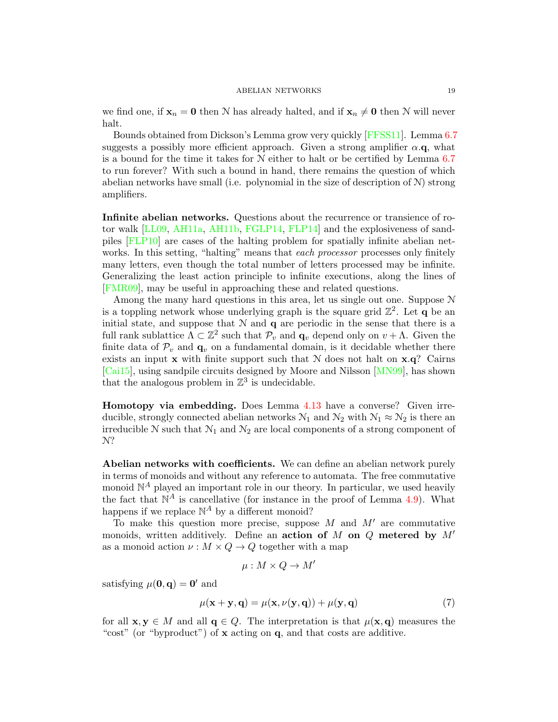we find one, if  $\mathbf{x}_n = \mathbf{0}$  then N has already halted, and if  $\mathbf{x}_n \neq \mathbf{0}$  then N will never halt.

Bounds obtained from Dickson's Lemma grow very quickly [\[FFSS11\]](#page-20-13). Lemma [6.7](#page-17-1) suggests a possibly more efficient approach. Given a strong amplifier  $\alpha$ .q, what is a bound for the time it takes for N either to halt or be certified by Lemma [6.7](#page-17-1) to run forever? With such a bound in hand, there remains the question of which abelian networks have small (i.e. polynomial in the size of description of  $\mathcal{N}$ ) strong amplifiers.

Infinite abelian networks. Questions about the recurrence or transience of rotor walk [\[LL09,](#page-20-19) [AH11a,](#page-19-5) [AH11b,](#page-19-6) [FGLP14,](#page-20-20) [FLP14\]](#page-20-21) and the explosiveness of sandpiles [\[FLP10\]](#page-20-22) are cases of the halting problem for spatially infinite abelian networks. In this setting, "halting" means that each processor processes only finitely many letters, even though the total number of letters processed may be infinite. Generalizing the least action principle to infinite executions, along the lines of [\[FMR09\]](#page-20-23), may be useful in approaching these and related questions.

Among the many hard questions in this area, let us single out one. Suppose N is a toppling network whose underlying graph is the square grid  $\mathbb{Z}^2$ . Let q be an initial state, and suppose that  $N$  and  $q$  are periodic in the sense that there is a full rank sublattice  $\Lambda \subset \mathbb{Z}^2$  such that  $\mathcal{P}_v$  and  $\mathbf{q}_v$  depend only on  $v + \Lambda$ . Given the finite data of  $\mathcal{P}_v$  and  $\mathbf{q}_v$  on a fundamental domain, is it decidable whether there exists an input  $x$  with finite support such that  $N$  does not halt on  $x.q$ ? Cairns [\[Cai15\]](#page-20-1), using sandpile circuits designed by Moore and Nilsson [\[MN99\]](#page-20-24), has shown that the analogous problem in  $\mathbb{Z}^3$  is undecidable.

Homotopy via embedding. Does Lemma [4.13](#page-11-1) have a converse? Given irreducible, strongly connected abelian networks  $\mathcal{N}_1$  and  $\mathcal{N}_2$  with  $\mathcal{N}_1 \approx \mathcal{N}_2$  is there an irreducible  $N$  such that  $N_1$  and  $N_2$  are local components of a strong component of N?

Abelian networks with coefficients. We can define an abelian network purely in terms of monoids and without any reference to automata. The free commutative monoid  $\mathbb{N}^A$  played an important role in our theory. In particular, we used heavily the fact that  $\mathbb{N}^A$  is cancellative (for instance in the proof of Lemma [4.9\)](#page-9-2). What happens if we replace  $\mathbb{N}^A$  by a different monoid?

To make this question more precise, suppose  $M$  and  $M'$  are commutative monoids, written additively. Define an action of M on Q metered by  $M'$ as a monoid action  $\nu : M \times Q \to Q$  together with a map

<span id="page-18-0"></span>
$$
\mu:M\times Q\to M'
$$

satisfying  $\mu(\mathbf{0}, \mathbf{q}) = \mathbf{0}'$  and

$$
\mu(\mathbf{x} + \mathbf{y}, \mathbf{q}) = \mu(\mathbf{x}, \nu(\mathbf{y}, \mathbf{q})) + \mu(\mathbf{y}, \mathbf{q})
$$
\n(7)

for all  $\mathbf{x}, \mathbf{y} \in M$  and all  $\mathbf{q} \in Q$ . The interpretation is that  $\mu(\mathbf{x}, \mathbf{q})$  measures the "cost" (or "byproduct") of x acting on q, and that costs are additive.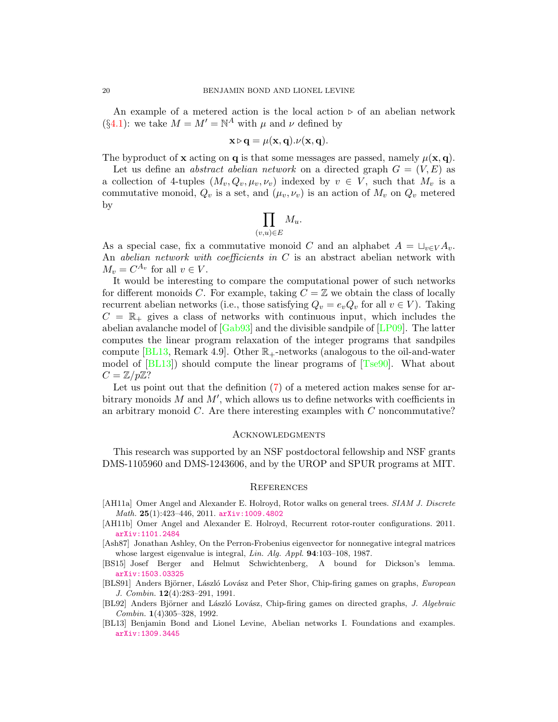An example of a metered action is the local action  $\triangleright$  of an abelian network (§[4.1\)](#page-6-3): we take  $M = M' = \mathbb{N}^A$  with  $\mu$  and  $\nu$  defined by

$$
\mathbf{x} \triangleright \mathbf{q} = \mu(\mathbf{x}, \mathbf{q}). \nu(\mathbf{x}, \mathbf{q}).
$$

The byproduct of **x** acting on **q** is that some messages are passed, namely  $\mu(\mathbf{x}, \mathbf{q})$ .

Let us define an *abstract abelian network* on a directed graph  $G = (V, E)$  as a collection of 4-tuples  $(M_v, Q_v, \mu_v, \nu_v)$  indexed by  $v \in V$ , such that  $M_v$  is a commutative monoid,  $Q_v$  is a set, and  $(\mu_v, \nu_v)$  is an action of  $M_v$  on  $Q_v$  metered by

$$
\prod_{(v,u)\in E} M_u.
$$

As a special case, fix a commutative monoid C and an alphabet  $A = \sqcup_{v \in V} A_v$ . An abelian network with coefficients in  $C$  is an abstract abelian network with  $M_v = C^{A_v}$  for all  $v \in V$ .

It would be interesting to compare the computational power of such networks for different monoids C. For example, taking  $C = \mathbb{Z}$  we obtain the class of locally recurrent abelian networks (i.e., those satisfying  $Q_v = e_v Q_v$  for all  $v \in V$ ). Taking  $C = \mathbb{R}_+$  gives a class of networks with continuous input, which includes the abelian avalanche model of [\[Gab93\]](#page-20-25) and the divisible sandpile of [\[LP09\]](#page-20-26). The latter computes the linear program relaxation of the integer programs that sandpiles compute [\[BL13,](#page-19-0) Remark 4.9]. Other  $\mathbb{R}_{+}$ -networks (analogous to the oil-and-water model of  $[BL13]$ ) should compute the linear programs of  $[Tse90]$ . What about  $C=\mathbb{Z}/p\mathbb{Z}$ ?

Let us point out that the definition [\(7\)](#page-18-0) of a metered action makes sense for arbitrary monoids  $M$  and  $M'$ , which allows us to define networks with coefficients in an arbitrary monoid  $C$ . Are there interesting examples with  $C$  noncommutative?

### **ACKNOWLEDGMENTS**

This research was supported by an NSF postdoctoral fellowship and NSF grants DMS-1105960 and DMS-1243606, and by the UROP and SPUR programs at MIT.

#### **REFERENCES**

- <span id="page-19-5"></span>[AH11a] Omer Angel and Alexander E. Holroyd, Rotor walks on general trees. SIAM J. Discrete Math.  $25(1):423-446, 2011.$  [arXiv:1009.4802](http://arxiv.org/abs/1009.4802)
- <span id="page-19-6"></span>[AH11b] Omer Angel and Alexander E. Holroyd, Recurrent rotor-router configurations. 2011. [arXiv:1101.2484](http://arxiv.org/abs/1101.2484)
- <span id="page-19-4"></span>[Ash87] Jonathan Ashley, On the Perron-Frobenius eigenvector for nonnegative integral matrices whose largest eigenvalue is integral, *Lin. Alg. Appl.* **94**:103-108, 1987.
- <span id="page-19-3"></span>[BS15] Josef Berger and Helmut Schwichtenberg, A bound for Dickson's lemma. [arXiv:1503.03325](http://arxiv.org/abs/1503.03325)
- <span id="page-19-1"></span>[BLS91] Anders Björner, László Lovász and Peter Shor, Chip-firing games on graphs, European J. Combin. 12(4):283–291, 1991.
- <span id="page-19-2"></span>[BL92] Anders Björner and László Lovász, Chip-firing games on directed graphs, J. Algebraic Combin. 1(4)305–328, 1992.
- <span id="page-19-0"></span>[BL13] Benjamin Bond and Lionel Levine, Abelian networks I. Foundations and examples. [arXiv:1309.3445](http://arxiv.org/abs/1309.3445)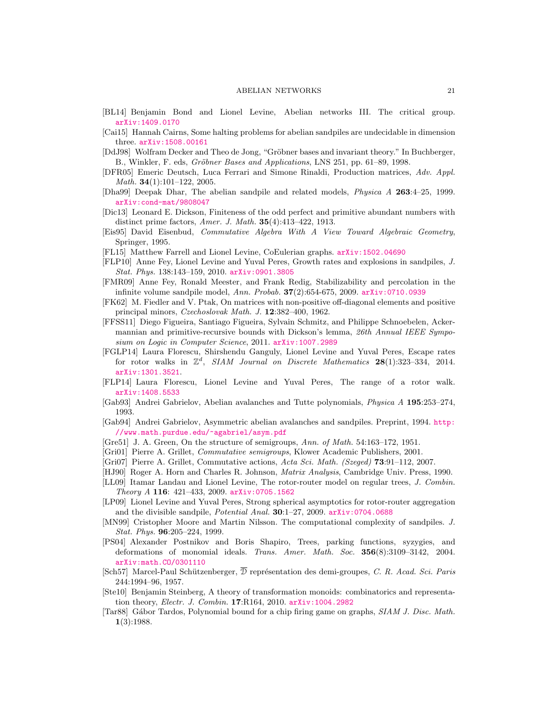- <span id="page-20-17"></span>[BL14] Benjamin Bond and Lionel Levine, Abelian networks III. The critical group. [arXiv:1409.0170](http://arxiv.org/abs/1409.0170)
- <span id="page-20-1"></span>[Cai15] Hannah Cairns, Some halting problems for abelian sandpiles are undecidable in dimension three. [arXiv:1508.00161](http://arxiv.org/abs/1508.00161)
- <span id="page-20-11"></span>[DdJ98] Wolfram Decker and Theo de Jong, "Gröbner bases and invariant theory." In Buchberger, B., Winkler, F. eds, Gröbner Bases and Applications, LNS 251, pp. 61–89, 1998.
- <span id="page-20-18"></span>[DFR05] Emeric Deutsch, Luca Ferrari and Simone Rinaldi, Production matrices, Adv. Appl. *Math.* **34** $(1):101-122$ , 2005.
- <span id="page-20-0"></span>[Dha99] Deepak Dhar, The abelian sandpile and related models, Physica A 263:4–25, 1999. [arXiv:cond-mat/9808047](http://arxiv.org/abs/cond-mat/9808047)
- <span id="page-20-12"></span>[Dic13] Leonard E. Dickson, Finiteness of the odd perfect and primitive abundant numbers with distinct prime factors, Amer. J. Math. 35(4):413–422, 1913.
- <span id="page-20-10"></span>[Eis95] David Eisenbud, Commutative Algebra With A View Toward Algebraic Geometry, Springer, 1995.
- <span id="page-20-3"></span>[FL15] Matthew Farrell and Lionel Levine, CoEulerian graphs. [arXiv:1502.04690](http://arxiv.org/abs/1502.04690)
- <span id="page-20-22"></span>[FLP10] Anne Fey, Lionel Levine and Yuval Peres, Growth rates and explosions in sandpiles, J. Stat. Phys. 138:143–159, 2010. [arXiv:0901.3805](http://arxiv.org/abs/0901.3805)
- <span id="page-20-23"></span>[FMR09] Anne Fey, Ronald Meester, and Frank Redig, Stabilizability and percolation in the infinite volume sandpile model, Ann. Probab.  $37(2):654-675$ , 2009. [arXiv:0710.0939](http://arxiv.org/abs/0710.0939)
- <span id="page-20-16"></span>[FK62] M. Fiedler and V. Ptak, On matrices with non-positive off-diagonal elements and positive principal minors, Czechoslovak Math. J. 12:382–400, 1962.
- <span id="page-20-13"></span>[FFSS11] Diego Figueira, Santiago Figueira, Sylvain Schmitz, and Philippe Schnoebelen, Ackermannian and primitive-recursive bounds with Dickson's lemma, 26th Annual IEEE Symposium on Logic in Computer Science, 2011. [arXiv:1007.2989](http://arxiv.org/abs/1007.2989)
- <span id="page-20-20"></span>[FGLP14] Laura Florescu, Shirshendu Ganguly, Lionel Levine and Yuval Peres, Escape rates for rotor walks in  $\mathbb{Z}^d$ , SIAM Journal on Discrete Mathematics 28(1):323-334, 2014. [arXiv:1301.3521](http://arxiv.org/abs/1301.3521).
- <span id="page-20-21"></span>[FLP14] Laura Florescu, Lionel Levine and Yuval Peres, The range of a rotor walk. [arXiv:1408.5533](http://arxiv.org/abs/1408.5533)
- <span id="page-20-25"></span>[Gab93] Andrei Gabrielov, Abelian avalanches and Tutte polynomials, Physica A 195:253–274, 1993.
- <span id="page-20-4"></span>[Gab94] Andrei Gabrielov, Asymmetric abelian avalanches and sandpiles. Preprint, 1994. [http:](http://www.math.purdue.edu/~agabriel/asym.pdf) [//www.math.purdue.edu/~agabriel/asym.pdf](http://www.math.purdue.edu/~agabriel/asym.pdf)
- <span id="page-20-5"></span>[Gre51] J. A. Green, On the structure of semigroups, Ann. of Math. 54:163–172, 1951.
- <span id="page-20-7"></span>[Gri01] Pierre A. Grillet, Commutative semigroups, Klower Academic Publishers, 2001.
- <span id="page-20-9"></span>[Gri07] Pierre A. Grillet, Commutative actions, Acta Sci. Math. (Szeged) 73:91–112, 2007.
- <span id="page-20-14"></span>[HJ90] Roger A. Horn and Charles R. Johnson, Matrix Analysis, Cambridge Univ. Press, 1990.
- <span id="page-20-19"></span>[LL09] Itamar Landau and Lionel Levine, The rotor-router model on regular trees, J. Combin. Theory A 116: 421–433, 2009. [arXiv:0705.1562](http://arxiv.org/abs/0705.1562)
- <span id="page-20-26"></span>[LP09] Lionel Levine and Yuval Peres, Strong spherical asymptotics for rotor-router aggregation and the divisible sandpile, Potential Anal. 30:1-27, 2009. [arXiv:0704.0688](http://arxiv.org/abs/0704.0688)
- <span id="page-20-24"></span>[MN99] Cristopher Moore and Martin Nilsson. The computational complexity of sandpiles. J. Stat. Phys. 96:205–224, 1999.
- <span id="page-20-15"></span>[PS04] Alexander Postnikov and Boris Shapiro, Trees, parking functions, syzygies, and deformations of monomial ideals. Trans. Amer. Math. Soc. 356(8):3109–3142, 2004. [arXiv:math.CO/0301110](http://arxiv.org/abs/math.CO/0301110)
- <span id="page-20-6"></span>[Sch57] Marcel-Paul Schützenberger,  $\overline{\mathcal{D}}$  représentation des demi-groupes, C. R. Acad. Sci. Paris 244:1994–96, 1957.
- <span id="page-20-8"></span>[Ste10] Benjamin Steinberg, A theory of transformation monoids: combinatorics and representation theory, Electr. J. Combin. 17:R164, 2010. [arXiv:1004.2982](http://arxiv.org/abs/1004.2982)
- <span id="page-20-2"></span>[Tar88] Gábor Tardos, Polynomial bound for a chip firing game on graphs, SIAM J. Disc. Math. 1(3):1988.